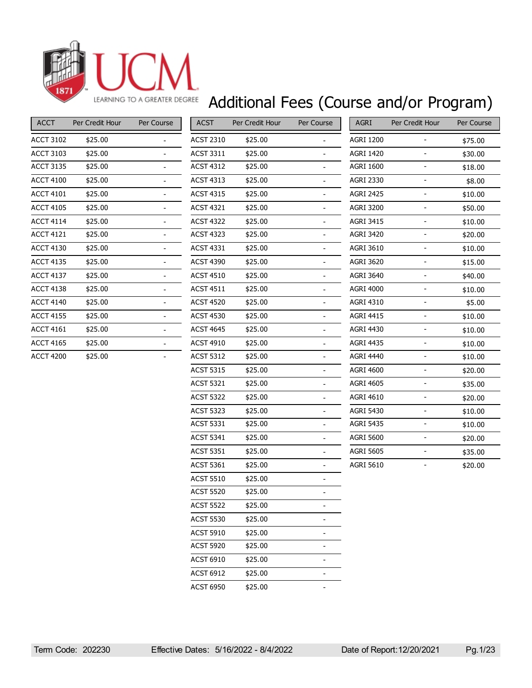

## Additional Fees (Course and/or Program)

| <b>ACCT</b>      | Per Credit Hour | Per Course |
|------------------|-----------------|------------|
| <b>ACCT 3102</b> | \$25.00         |            |
| <b>ACCT 3103</b> | \$25.00         |            |
| <b>ACCT 3135</b> | \$25.00         |            |
| <b>ACCT 4100</b> | \$25.00         |            |
| <b>ACCT 4101</b> | \$25.00         |            |
| <b>ACCT 4105</b> | \$25.00         |            |
| <b>ACCT 4114</b> | \$25.00         |            |
| <b>ACCT 4121</b> | \$25.00         |            |
| <b>ACCT 4130</b> | \$25.00         |            |
| <b>ACCT 4135</b> | \$25.00         |            |
| <b>ACCT 4137</b> | \$25.00         |            |
| <b>ACCT 4138</b> | \$25.00         |            |
| <b>ACCT 4140</b> | \$25.00         |            |
| <b>ACCT 4155</b> | \$25.00         |            |
| <b>ACCT 4161</b> | \$25.00         |            |
| <b>ACCT 4165</b> | \$25.00         |            |
| <b>ACCT 4200</b> | \$25.00         |            |

| <b>ACST</b>      | Per Credit Hour | Per Course     |
|------------------|-----------------|----------------|
| ACST 2310        | \$25.00         |                |
| ACST 3311        | \$25.00         |                |
| <b>ACST 4312</b> | \$25.00         |                |
| ACST 4313        | \$25.00         | $\overline{a}$ |
| ACST 4315        | \$25.00         |                |
| <b>ACST 4321</b> | \$25.00         |                |
| ACST 4322        | \$25.00         |                |
| <b>ACST 4323</b> | \$25.00         |                |
| ACST 4331        | \$25.00         | $\overline{a}$ |
| <b>ACST 4390</b> | \$25.00         |                |
| ACST 4510        | \$25.00         |                |
| ACST 4511        | \$25.00         |                |
| <b>ACST 4520</b> | \$25.00         |                |
| <b>ACST 4530</b> | \$25.00         | $\overline{a}$ |
| ACST 4645        | \$25.00         |                |
| ACST 4910        | \$25.00         |                |
| ACST 5312        | \$25.00         |                |
| <b>ACST 5315</b> | \$25.00         |                |
| <b>ACST 5321</b> | \$25.00         | -              |
| <b>ACST 5322</b> | \$25.00         |                |
| <b>ACST 5323</b> | \$25.00         |                |
| ACST 5331        | \$25.00         |                |
| <b>ACST 5341</b> | \$25.00         |                |
| <b>ACST 5351</b> | \$25.00         | $\overline{a}$ |
| <b>ACST 5361</b> | \$25.00         |                |
| <b>ACST 5510</b> | \$25.00         |                |
| <b>ACST 5520</b> | \$25.00         |                |
| <b>ACST 5522</b> | \$25.00         |                |
| <b>ACST 5530</b> | \$25.00         |                |
| <b>ACST 5910</b> | \$25.00         |                |
| <b>ACST 5920</b> | \$25.00         | $\overline{a}$ |
| ACST 6910        | \$25.00         |                |
| <b>ACST 6912</b> | \$25.00         |                |
| <b>ACST 6950</b> | \$25.00         | -              |

| <b>AGRI</b>      | Per Credit Hour | Per Course |
|------------------|-----------------|------------|
| AGRI 1200        |                 | \$75.00    |
| <b>AGRI 1420</b> |                 | \$30.00    |
| <b>AGRI 1600</b> |                 | \$18.00    |
| <b>AGRI 2330</b> |                 | \$8.00     |
| <b>AGRI 2425</b> |                 | \$10.00    |
| <b>AGRI 3200</b> |                 | \$50.00    |
| <b>AGRI 3415</b> |                 | \$10.00    |
| <b>AGRI 3420</b> |                 | \$20.00    |
| <b>AGRI 3610</b> |                 | \$10.00    |
| <b>AGRI 3620</b> |                 | \$15.00    |
| <b>AGRI 3640</b> |                 | \$40.00    |
| <b>AGRI 4000</b> |                 | \$10.00    |
| <b>AGRI 4310</b> |                 | \$5.00     |
| <b>AGRI 4415</b> |                 | \$10.00    |
| <b>AGRI 4430</b> |                 | \$10.00    |
| <b>AGRI 4435</b> |                 | \$10.00    |
| <b>AGRI 4440</b> |                 | \$10.00    |
| <b>AGRI 4600</b> |                 | \$20.00    |
| <b>AGRI 4605</b> |                 | \$35.00    |
| AGRI 4610        |                 | \$20.00    |
| <b>AGRI 5430</b> |                 | \$10.00    |
| <b>AGRI 5435</b> |                 | \$10.00    |
| <b>AGRI 5600</b> |                 | \$20.00    |
| <b>AGRI 5605</b> |                 | \$35.00    |
| <b>AGRI 5610</b> |                 | \$20.00    |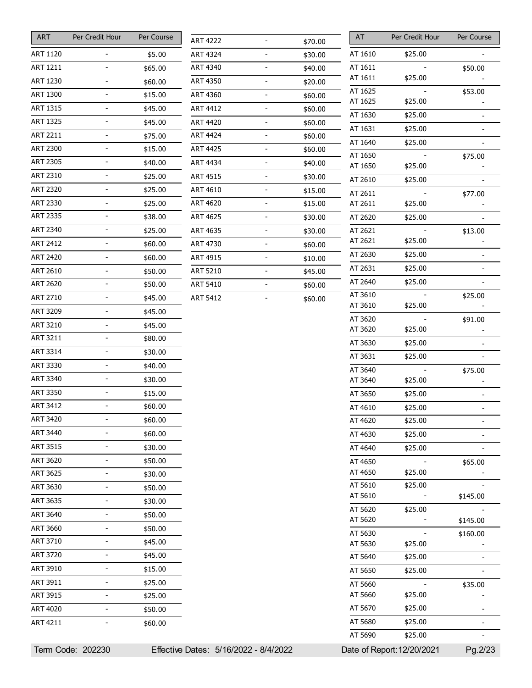| ART             | Per Credit Hour | Per Course |
|-----------------|-----------------|------------|
| ART 1120        |                 | \$5.00     |
| ART 1211        |                 | \$65.00    |
| ART 1230        |                 | \$60.00    |
| ART 1300        |                 | \$15.00    |
| ART 1315        | L,              | \$45.00    |
| ART 1325        | $\overline{a}$  | \$45.00    |
| ART 2211        |                 | \$75.00    |
| <b>ART 2300</b> |                 | \$15.00    |
| <b>ART 2305</b> |                 | \$40.00    |
| ART 2310        |                 | \$25.00    |
| ART 2320        | $\overline{a}$  | \$25.00    |
| ART 2330        |                 | \$25.00    |
| <b>ART 2335</b> |                 | \$38.00    |
| ART 2340        |                 | \$25.00    |
| ART 2412        | -               | \$60.00    |
| ART 2420        | $\overline{a}$  | \$60.00    |
| ART 2610        |                 | \$50.00    |
| <b>ART 2620</b> |                 | \$50.00    |
| ART 2710        |                 | \$45.00    |
| ART 3209        |                 | \$45.00    |
| ART 3210        | $\overline{a}$  | \$45.00    |
| ART 3211        |                 | \$80.00    |
| <b>ART 3314</b> |                 | \$30.00    |
| ART 3330        |                 | \$40.00    |
| ART 3340        | $\overline{a}$  | \$30.00    |
| <b>ART 3350</b> | $\overline{a}$  | \$15.00    |
| ART 3412        |                 | \$60.00    |
| ART 3420        |                 | \$60.00    |
| <b>ART 3440</b> |                 | \$60.00    |
| ART 3515        |                 | \$30.00    |
| ART 3620        | $\overline{a}$  | \$50.00    |
| ART 3625        |                 | \$30.00    |
| <b>ART 3630</b> | $\overline{a}$  | \$50.00    |
| ART 3635        |                 | \$30.00    |
| <b>ART 3640</b> |                 | \$50.00    |
| ART 3660        | $\overline{a}$  | \$50.00    |
| ART 3710        |                 | \$45.00    |
| <b>ART 3720</b> |                 | \$45.00    |
| ART 3910        |                 | \$15.00    |
| ART 3911        |                 | \$25.00    |
| <b>ART 3915</b> | $\overline{a}$  | \$25.00    |
| ART 4020        |                 | \$50.00    |
| ART 4211        |                 | \$60.00    |

| <b>ART 4222</b> | \$70.00 |
|-----------------|---------|
| <b>ART 4324</b> | \$30.00 |
| ART 4340        | \$40.00 |
| ART 4350        | \$20.00 |
| <b>ART 4360</b> | \$60.00 |
| <b>ART 4412</b> | \$60.00 |
| <b>ART 4420</b> | \$60.00 |
| ART 4424        | \$60.00 |
| <b>ART 4425</b> | \$60.00 |
| ART 4434        | \$40.00 |
| <b>ART 4515</b> | \$30.00 |
| <b>ART 4610</b> | \$15.00 |
| <b>ART 4620</b> | \$15.00 |
| <b>ART 4625</b> | \$30.00 |
| ART 4635        | \$30.00 |
| ART 4730        | \$60.00 |
| <b>ART 4915</b> | \$10.00 |
| <b>ART 5210</b> | \$45.00 |
| ART 5410        | \$60.00 |
| <b>ART 5412</b> | \$60.00 |
|                 |         |

| AT                 | Per Credit Hour           | Per Course     |
|--------------------|---------------------------|----------------|
| AT 1610            | \$25.00                   |                |
| AT 1611            |                           | \$50.00        |
| AT 1611            | \$25.00                   |                |
| AT 1625            |                           | \$53.00        |
| AT 1625            | \$25.00                   |                |
| AT 1630            | \$25.00                   | -              |
| AT 1631            | \$25.00                   |                |
| AT 1640            | \$25.00                   |                |
| AT 1650            |                           | \$75.00        |
| AT 1650            | \$25.00                   |                |
| AT 2610            | \$25.00                   |                |
| AT 2611            |                           | \$77.00        |
| AT 2611            | \$25.00                   |                |
| AT 2620            | \$25.00                   |                |
| AT 2621<br>AT 2621 |                           | \$13.00        |
|                    | \$25.00                   |                |
| AT 2630            | \$25.00                   |                |
| AT 2631            | \$25.00                   |                |
| AT 2640            | \$25.00                   | -              |
| AT 3610            |                           | \$25.00        |
| AT 3610            | \$25.00                   |                |
| AT 3620<br>AT 3620 | \$25.00                   | \$91.00        |
| AT 3630            | \$25.00                   |                |
| AT 3631            | \$25.00                   |                |
|                    |                           |                |
| AT 3640<br>AT 3640 | \$25.00                   | \$75.00        |
| AT 3650            | \$25.00                   |                |
| AT 4610            | \$25.00                   |                |
| AT 4620            | \$25.00                   | $\overline{a}$ |
|                    | \$25.00                   |                |
| AT 4630            |                           |                |
| AT 4640            | \$25.00                   |                |
| AT 4650<br>AT 4650 | \$25.00                   | \$65.00        |
| AT 5610            | \$25.00                   |                |
| AT 5610            |                           | \$145.00       |
| AT 5620            | \$25.00                   |                |
| AT 5620            |                           | \$145.00       |
| AT 5630            |                           | \$160.00       |
| AT 5630            | \$25.00                   |                |
| AT 5640            | \$25.00                   |                |
| AT 5650            | \$25.00                   |                |
| AT 5660            |                           | \$35.00        |
| AT 5660            | \$25.00                   |                |
| AT 5670            | \$25.00                   |                |
| AT 5680            | \$25.00                   |                |
| AT 5690            | \$25.00                   |                |
|                    | )ate of Report:12/20/2021 | Pg.2/23        |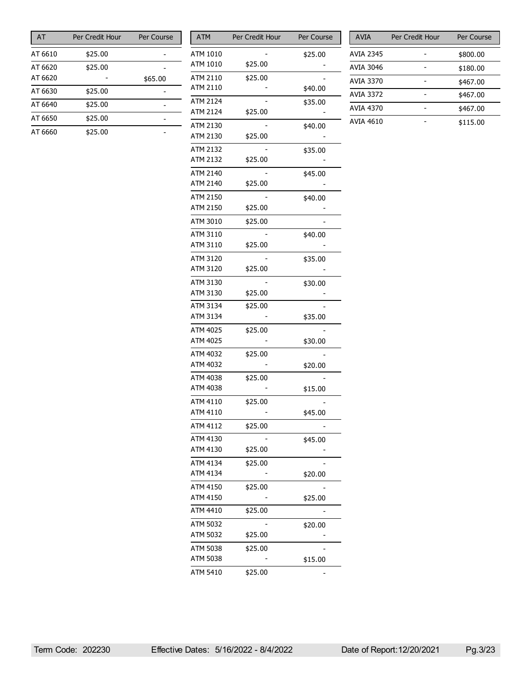| AT      | Per Credit Hour | Per Course |
|---------|-----------------|------------|
| AT 6610 | \$25.00         |            |
| AT 6620 | \$25.00         |            |
| AT 6620 |                 | \$65.00    |
| AT 6630 | \$25.00         |            |
| AT 6640 | \$25.00         |            |
| AT 6650 | \$25.00         |            |
| AT 6660 | \$25.00         |            |

| <b>ATM</b>           | Per Credit Hour | Per Course |
|----------------------|-----------------|------------|
| ATM 1010             |                 | \$25.00    |
| ATM 1010             | \$25.00         |            |
| ATM 2110             | \$25.00         |            |
| ATM 2110             |                 | \$40.00    |
| <b>ATM 2124</b>      |                 | \$35.00    |
| ATM 2124             | \$25.00         |            |
| ATM 2130             |                 | \$40.00    |
| ATM 2130             | \$25.00         |            |
| ATM 2132             |                 | \$35.00    |
| ATM 2132             | \$25.00         |            |
| ATM 2140             |                 | \$45.00    |
| ATM 2140             | \$25.00         |            |
| ATM 2150             |                 | \$40.00    |
| ATM 2150             | \$25.00         |            |
| ATM 3010             | \$25.00         |            |
|                      |                 |            |
| ATM 3110<br>ATM 3110 | \$25.00         | \$40.00    |
|                      |                 |            |
| ATM 3120<br>ATM 3120 | \$25.00         | \$35.00    |
|                      |                 |            |
| ATM 3130             |                 | \$30.00    |
| ATM 3130             | \$25.00         |            |
| ATM 3134             | \$25.00         |            |
| ATM 3134             |                 | \$35.00    |
| ATM 4025             | \$25.00         |            |
| ATM 4025             |                 | \$30.00    |
| ATM 4032             | \$25.00         |            |
| ATM 4032             |                 | \$20.00    |
| ATM 4038             | \$25.00         |            |
| ATM 4038             |                 | \$15.00    |
| ATM 4110             | \$25.00         |            |
| ATM 4110             |                 | \$45.00    |
| ATM 4112             | \$25.00         |            |
| ATM 4130             |                 | \$45.00    |
| ATM 4130             | \$25.00         |            |
| ATM 4134             | \$25.00         |            |
| ATM 4134             |                 | \$20.00    |
| ATM 4150             | \$25.00         |            |
| ATM 4150             |                 | \$25.00    |
| ATM 4410             | \$25.00         |            |
| ATM 5032             |                 | \$20.00    |
| ATM 5032             | \$25.00         |            |
| ATM 5038             | \$25.00         |            |
| ATM 5038             |                 | \$15.00    |
| ATM 5410             | \$25.00         |            |

| <b>AVIA</b>      | Per Credit Hour | Per Course |
|------------------|-----------------|------------|
| AVIA 2345        |                 | \$800.00   |
| AVIA 3046        |                 | \$180.00   |
| <b>AVIA 3370</b> |                 | \$467.00   |
| <b>AVIA 3372</b> |                 | \$467.00   |
| <b>AVIA 4370</b> |                 | \$467.00   |
| AVIA 4610        |                 | \$115.00   |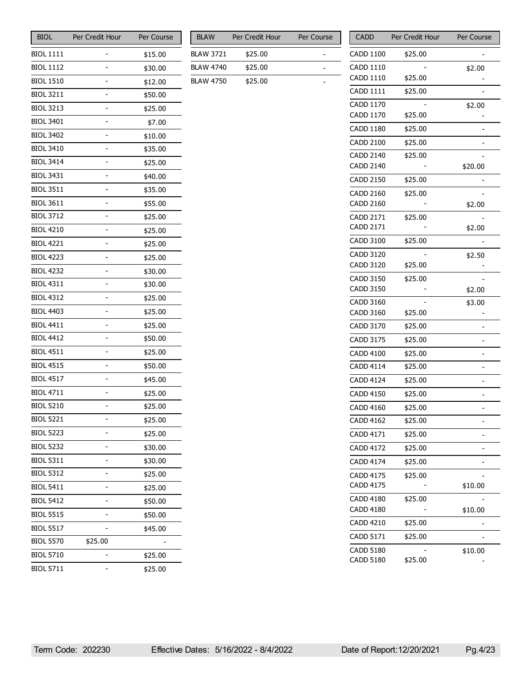| <b>BIOL</b>      | Per Credit Hour | Per Course |
|------------------|-----------------|------------|
| <b>BIOL 1111</b> |                 | \$15.00    |
| <b>BIOL 1112</b> |                 | \$30.00    |
| <b>BIOL 1510</b> |                 | \$12.00    |
| <b>BIOL 3211</b> |                 | \$50.00    |
| <b>BIOL 3213</b> |                 | \$25.00    |
| <b>BIOL 3401</b> |                 | \$7.00     |
| <b>BIOL 3402</b> |                 | \$10.00    |
| <b>BIOL 3410</b> |                 | \$35.00    |
| <b>BIOL 3414</b> |                 | \$25.00    |
| <b>BIOL 3431</b> |                 | \$40.00    |
| <b>BIOL 3511</b> |                 | \$35.00    |
| <b>BIOL 3611</b> |                 | \$55.00    |
| <b>BIOL 3712</b> |                 | \$25.00    |
| <b>BIOL 4210</b> |                 | \$25.00    |
| <b>BIOL 4221</b> |                 | \$25.00    |
| <b>BIOL 4223</b> |                 | \$25.00    |
| <b>BIOL 4232</b> |                 | \$30.00    |
| <b>BIOL 4311</b> |                 | \$30.00    |
| <b>BIOL 4312</b> |                 | \$25.00    |
| <b>BIOL 4403</b> |                 | \$25.00    |
| <b>BIOL 4411</b> |                 | \$25.00    |
| <b>BIOL 4412</b> |                 | \$50.00    |
| <b>BIOL 4511</b> |                 | \$25.00    |
| <b>BIOL 4515</b> |                 | \$50.00    |
| <b>BIOL 4517</b> |                 | \$45.00    |
| <b>BIOL 4711</b> |                 | \$25.00    |
| <b>BIOL 5210</b> |                 | \$25.00    |
| <b>BIOL 5221</b> |                 | \$25.00    |
| <b>BIOL 5223</b> |                 | \$25.00    |
| <b>BIOL 5232</b> |                 | \$30.00    |
| <b>BIOL 5311</b> |                 | \$30.00    |
| <b>BIOL 5312</b> |                 | \$25.00    |
| <b>BIOL 5411</b> |                 | \$25.00    |
| <b>BIOL 5412</b> |                 | \$50.00    |
| <b>BIOL 5515</b> |                 | \$50.00    |
| <b>BIOL 5517</b> |                 | \$45.00    |
| <b>BIOL 5570</b> | \$25.00         |            |
| <b>BIOL 5710</b> |                 | \$25.00    |
| <b>BIOL 5711</b> |                 | \$25.00    |

| Per Credit Hour | Per Course |
|-----------------|------------|
| \$25.00         |            |
| \$25.00         |            |
| \$25.00         |            |
|                 |            |

| CADD             | Per Credit Hour | Per Course |
|------------------|-----------------|------------|
| CADD 1100        | \$25.00         |            |
| <b>CADD 1110</b> |                 | \$2.00     |
| CADD 1110        | \$25.00         |            |
| <b>CADD 1111</b> | \$25.00         |            |
| <b>CADD 1170</b> |                 | \$2.00     |
| CADD 1170        | \$25.00         |            |
| <b>CADD 1180</b> | \$25.00         |            |
| <b>CADD 2100</b> | \$25.00         |            |
| <b>CADD 2140</b> | \$25.00         |            |
| <b>CADD 2140</b> |                 | \$20.00    |
| <b>CADD 2150</b> | \$25.00         |            |
| <b>CADD 2160</b> | \$25.00         |            |
| CADD 2160        |                 | \$2.00     |
| CADD 2171        | \$25.00         |            |
| CADD 2171        |                 | \$2.00     |
| CADD 3100        | \$25.00         |            |
| <b>CADD 3120</b> |                 | \$2.50     |
| CADD 3120        | \$25.00         |            |
| <b>CADD 3150</b> | \$25.00         |            |
| <b>CADD 3150</b> |                 | \$2.00     |
| CADD 3160        |                 | \$3.00     |
| CADD 3160        | \$25.00         |            |
| CADD 3170        | \$25.00         |            |
| CADD 3175        | \$25.00         |            |
| <b>CADD 4100</b> | \$25.00         |            |
| <b>CADD 4114</b> | \$25.00         |            |
| <b>CADD 4124</b> | \$25.00         |            |
| <b>CADD 4150</b> | \$25.00         |            |
| <b>CADD 4160</b> | \$25.00         | -          |
| <b>CADD 4162</b> | \$25.00         |            |
| CADD 4171        | \$25.00         |            |
| <b>CADD 4172</b> | \$25.00         |            |
| <b>CADD 4174</b> | \$25.00         |            |
| <b>CADD 4175</b> | \$25.00         |            |
| CADD 4175        |                 | \$10.00    |
| CADD 4180        | \$25.00         |            |
| CADD 4180        |                 | \$10.00    |
| <b>CADD 4210</b> | \$25.00         |            |
| CADD 5171        | \$25.00         |            |
| <b>CADD 5180</b> |                 | \$10.00    |
| <b>CADD 5180</b> | \$25.00         |            |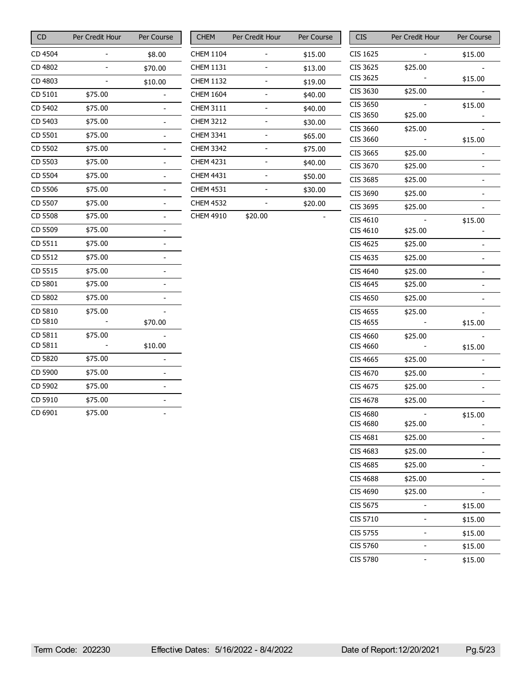| <b>CD</b> | Per Credit Hour | Per Course     |
|-----------|-----------------|----------------|
| CD 4504   |                 | \$8.00         |
| CD 4802   | -               | \$70.00        |
| CD 4803   |                 | \$10.00        |
| CD 5101   | \$75.00         |                |
| CD 5402   | \$75.00         |                |
| CD 5403   | \$75.00         |                |
| CD 5501   | \$75.00         |                |
| CD 5502   | \$75.00         |                |
| CD 5503   | \$75.00         |                |
| CD 5504   | \$75.00         |                |
| CD 5506   | \$75.00         |                |
| CD 5507   | \$75.00         |                |
| CD 5508   | \$75.00         |                |
| CD 5509   | \$75.00         | $\overline{a}$ |
| CD 5511   | \$75.00         |                |
| CD 5512   | \$75.00         |                |
| CD 5515   | \$75.00         |                |
| CD 5801   | \$75.00         |                |
| CD 5802   | \$75.00         |                |
| CD 5810   | \$75.00         |                |
| CD 5810   |                 | \$70.00        |
| CD 5811   | \$75.00         |                |
| CD 5811   |                 | \$10.00        |
| CD 5820   | \$75.00         |                |
| CD 5900   | \$75.00         |                |
| CD 5902   | \$75.00         |                |
| CD 5910   | \$75.00         |                |
| CD 6901   | \$75.00         |                |

| <b>CHEM</b>      | Per Credit Hour | Per Course |
|------------------|-----------------|------------|
| CHEM 1104        |                 | \$15.00    |
| CHEM 1131        |                 | \$13.00    |
| CHEM 1132        |                 | \$19.00    |
| <b>CHEM 1604</b> |                 | \$40.00    |
| CHEM 3111        |                 | \$40.00    |
| <b>CHEM 3212</b> |                 | \$30.00    |
| CHEM 3341        |                 | \$65.00    |
| CHEM 3342        |                 | \$75.00    |
| <b>CHEM 4231</b> |                 | \$40.00    |
| <b>CHEM 4431</b> |                 | \$50.00    |
| <b>CHEM 4531</b> |                 | \$30.00    |
| <b>CHEM 4532</b> |                 | \$20.00    |
| CHEM 4910        | \$20.00         |            |

| CIS      | Per Credit Hour | Per Course     |
|----------|-----------------|----------------|
| CIS 1625 |                 | \$15.00        |
| CIS 3625 | \$25.00         |                |
| CIS 3625 |                 | \$15.00        |
| CIS 3630 | \$25.00         |                |
| CIS 3650 |                 | \$15.00        |
| CIS 3650 | \$25.00         |                |
| CIS 3660 | \$25.00         |                |
| CIS 3660 |                 | \$15.00        |
| CIS 3665 | \$25.00         |                |
| CIS 3670 | \$25.00         |                |
| CIS 3685 | \$25.00         |                |
| CIS 3690 | \$25.00         | -              |
| CIS 3695 | \$25.00         |                |
| CIS 4610 |                 | \$15.00        |
| CIS 4610 | \$25.00         |                |
| CIS 4625 | \$25.00         |                |
| CIS 4635 | \$25.00         |                |
| CIS 4640 | \$25.00         | -              |
| CIS 4645 | \$25.00         | -              |
| CIS 4650 | \$25.00         | $\overline{a}$ |
| CIS 4655 | \$25.00         |                |
| CIS 4655 |                 | \$15.00        |
| CIS 4660 | \$25.00         |                |
| CIS 4660 |                 | \$15.00        |
| CIS 4665 | \$25.00         |                |
| CIS 4670 | \$25.00         |                |
| CIS 4675 | \$25.00         |                |
| CIS 4678 | \$25.00         |                |
| CIS 4680 |                 | \$15.00        |
| CIS 4680 | \$25.00         |                |
| CIS 4681 | \$25.00         |                |
| CIS 4683 | \$25.00         |                |
| CIS 4685 | \$25.00         |                |
| CIS 4688 | \$25.00         |                |
| CIS 4690 | \$25.00         |                |
| CIS 5675 |                 | \$15.00        |
| CIS 5710 |                 | \$15.00        |
| CIS 5755 |                 | \$15.00        |
| CIS 5760 |                 | \$15.00        |
| CIS 5780 |                 | \$15.00        |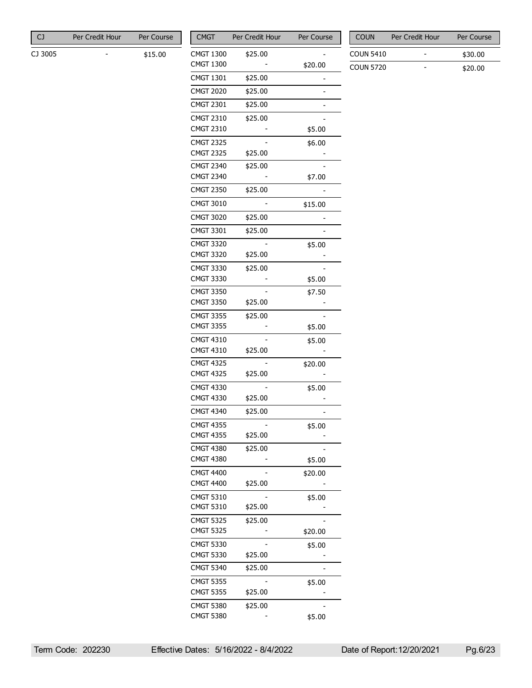|  | CJ | Per Credit Hour | Per Course |
|--|----|-----------------|------------|
|--|----|-----------------|------------|

CJ 3005 - \$15.00

| <b>CMGT</b>                          | Per Credit Hour | Per Course |
|--------------------------------------|-----------------|------------|
| CMGT 1300                            | \$25.00         |            |
| CMGT 1300                            |                 | \$20.00    |
| CMGT 1301                            | \$25.00         |            |
| <b>CMGT 2020</b>                     | \$25.00         |            |
| <b>CMGT 2301</b>                     | \$25.00         |            |
| CMGT 2310                            | \$25.00         |            |
| CMGT 2310                            |                 | \$5.00     |
| <b>CMGT 2325</b>                     |                 | \$6.00     |
| <b>CMGT 2325</b>                     | \$25.00         |            |
| <b>CMGT 2340</b>                     | \$25.00         |            |
| <b>CMGT 2340</b>                     |                 | \$7.00     |
| <b>CMGT 2350</b>                     | \$25.00         |            |
| <b>CMGT 3010</b>                     |                 | \$15.00    |
| <b>CMGT 3020</b>                     | \$25.00         |            |
| CMGT 3301                            | \$25.00         |            |
| <b>CMGT 3320</b>                     |                 | \$5.00     |
| <b>CMGT 3320</b>                     | \$25.00         |            |
| <b>CMGT 3330</b>                     | \$25.00         |            |
| CMGT 3330                            |                 | \$5.00     |
| CMGT 3350                            |                 | \$7.50     |
| <b>CMGT 3350</b>                     | \$25.00         |            |
| <b>CMGT 3355</b>                     | \$25.00         |            |
| <b>CMGT 3355</b>                     |                 | \$5.00     |
| CMGT 4310                            |                 | \$5.00     |
| <b>CMGT 4310</b>                     | \$25.00         |            |
| <b>CMGT 4325</b><br><b>CMGT 4325</b> | \$25.00         | \$20.00    |
| <b>CMGT 4330</b>                     |                 | \$5.00     |
| <b>CMGT 4330</b>                     | \$25.00         |            |
| <b>CMGT 4340</b>                     | \$25.00         |            |
| <b>CMGT 4355</b>                     |                 | \$5.00     |
| CMGT 4355                            | \$25.00         |            |
| <b>CMGT 4380</b>                     | \$25.00         |            |
| CMGT 4380                            |                 | \$5.00     |
| <b>CMGT 4400</b>                     |                 | \$20.00    |
| <b>CMGT 4400</b>                     | \$25.00         |            |
| <b>CMGT 5310</b>                     |                 | \$5.00     |
| <b>CMGT 5310</b>                     | \$25.00         |            |
| <b>CMGT 5325</b>                     | \$25.00         |            |
| CMGT 5325                            |                 | \$20.00    |
| <b>CMGT 5330</b>                     |                 | \$5.00     |
| <b>CMGT 5330</b>                     | \$25.00         |            |
| CMGT 5340                            | \$25.00         |            |
| <b>CMGT 5355</b>                     |                 | \$5.00     |
| <b>CMGT 5355</b>                     | \$25.00         |            |
| <b>CMGT 5380</b><br><b>CMGT 5380</b> | \$25.00         |            |
|                                      |                 | \$5.00     |

| <b>COUN</b>      | Per Credit Hour | Per Course |
|------------------|-----------------|------------|
| <b>COUN 5410</b> |                 | \$30.00    |
| <b>COUN 5720</b> |                 | \$20.00    |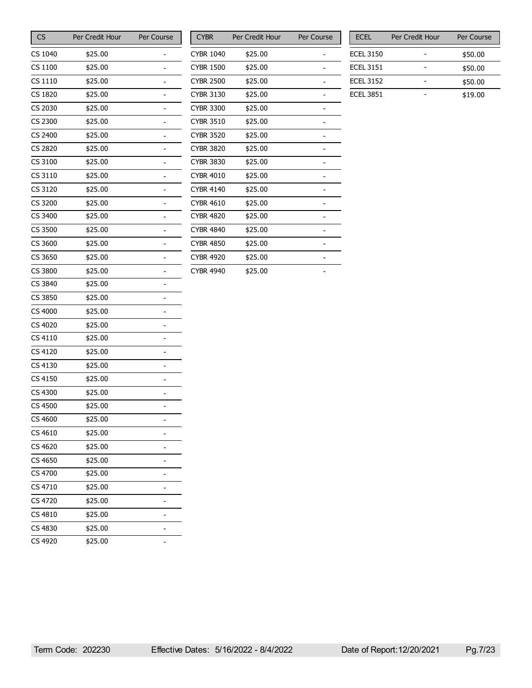| CS      | Per Credit Hour | Per Course     |
|---------|-----------------|----------------|
| CS 1040 | \$25.00         |                |
| CS 1100 | \$25.00         |                |
| CS 1110 | \$25.00         |                |
| CS 1820 | \$25.00         | $\overline{a}$ |
| CS 2030 | \$25.00         | $\overline{a}$ |
| CS 2300 | \$25.00         | -              |
| CS 2400 | \$25.00         |                |
| CS 2820 | \$25.00         |                |
| CS 3100 | \$25.00         | $\overline{a}$ |
| CS 3110 | \$25.00         |                |
| CS 3120 | \$25.00         |                |
| CS 3200 | \$25.00         |                |
| CS 3400 | \$25.00         |                |
| CS 3500 | \$25.00         | -              |
| CS 3600 | \$25.00         |                |
| CS 3650 | \$25.00         | $\overline{a}$ |
| CS 3800 | \$25.00         |                |
| CS 3840 | \$25.00         |                |
| CS 3850 | \$25.00         | $\overline{a}$ |
| CS 4000 | \$25.00         |                |
| CS 4020 | \$25.00         |                |
| CS 4110 | \$25.00         |                |
| CS 4120 | \$25.00         |                |
| CS 4130 | \$25.00         | -              |
| CS 4150 | \$25.00         |                |
| CS 4300 | \$25.00         |                |
| CS 4500 | \$25.00         |                |
| CS 4600 | \$25.00         |                |
| CS 4610 | \$25.00         |                |
| CS 4620 | \$25.00         |                |
| CS 4650 | \$25.00         | $\overline{a}$ |
| CS 4700 | \$25.00         |                |
| CS 4710 | \$25.00         |                |
| CS 4720 | \$25.00         | -              |
| CS 4810 | \$25.00         |                |
| CS 4830 | \$25.00         |                |
| CS 4920 | \$25.00         | -              |

| <b>CYBR</b>      | Per Credit Hour | Per Course |
|------------------|-----------------|------------|
| <b>CYBR 1040</b> | \$25.00         |            |
| <b>CYBR 1500</b> | \$25.00         |            |
| <b>CYBR 2500</b> | \$25.00         |            |
| <b>CYBR 3130</b> | \$25.00         |            |
| <b>CYBR 3300</b> | \$25.00         |            |
| <b>CYBR 3510</b> | \$25.00         |            |
| <b>CYBR 3520</b> | \$25.00         |            |
| <b>CYBR 3820</b> | \$25.00         |            |
| <b>CYBR 3830</b> | \$25.00         |            |
| <b>CYBR 4010</b> | \$25.00         |            |
| <b>CYBR 4140</b> | \$25.00         |            |
| <b>CYBR 4610</b> | \$25.00         |            |
| <b>CYBR 4820</b> | \$25.00         |            |
| <b>CYBR 4840</b> | \$25.00         |            |
| CYBR 4850        | \$25.00         |            |
| <b>CYBR 4920</b> | \$25.00         |            |
| <b>CYBR 4940</b> | \$25.00         |            |

| <b>ECEL</b>      | Per Credit Hour | Per Course |
|------------------|-----------------|------------|
| <b>ECEL 3150</b> |                 | \$50.00    |
| <b>ECEL 3151</b> |                 | \$50.00    |
| <b>ECEL 3152</b> |                 | \$50.00    |
| <b>FCFI 3851</b> |                 | \$19.00    |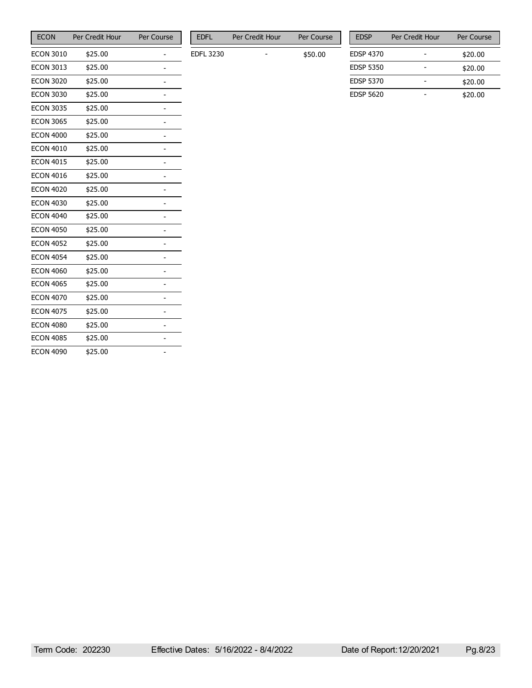| <b>ECON</b>      | Per Credit Hour | Per Course |
|------------------|-----------------|------------|
| <b>ECON 3010</b> | \$25.00         |            |
| <b>ECON 3013</b> | \$25.00         |            |
| <b>ECON 3020</b> | \$25.00         |            |
| <b>ECON 3030</b> | \$25.00         |            |
| <b>ECON 3035</b> | \$25.00         |            |
| <b>ECON 3065</b> | \$25.00         |            |
| <b>ECON 4000</b> | \$25.00         |            |
| <b>ECON 4010</b> | \$25.00         |            |
| <b>ECON 4015</b> | \$25.00         |            |
| <b>ECON 4016</b> | \$25.00         |            |
| <b>ECON 4020</b> | \$25.00         |            |
| <b>ECON 4030</b> | \$25.00         |            |
| <b>ECON 4040</b> | \$25.00         |            |
| <b>ECON 4050</b> | \$25.00         |            |
| <b>ECON 4052</b> | \$25.00         |            |
| <b>ECON 4054</b> | \$25.00         |            |
| <b>ECON 4060</b> | \$25.00         |            |
| <b>ECON 4065</b> | \$25.00         |            |
| <b>ECON 4070</b> | \$25.00         |            |
| <b>ECON 4075</b> | \$25.00         |            |
| <b>ECON 4080</b> | \$25.00         |            |
| <b>ECON 4085</b> | \$25.00         |            |
| <b>ECON 4090</b> | \$25.00         |            |

| FDFI      | Per Credit Hour | Per Course |
|-----------|-----------------|------------|
| EDFL 3230 |                 | \$50.00    |

| <b>EDSP</b>      | Per Credit Hour | Per Course |
|------------------|-----------------|------------|
| <b>EDSP 4370</b> |                 | \$20.00    |
| <b>EDSP 5350</b> |                 | \$20.00    |
| <b>EDSP 5370</b> |                 | \$20.00    |
| <b>FDSP 5620</b> |                 | \$20.00    |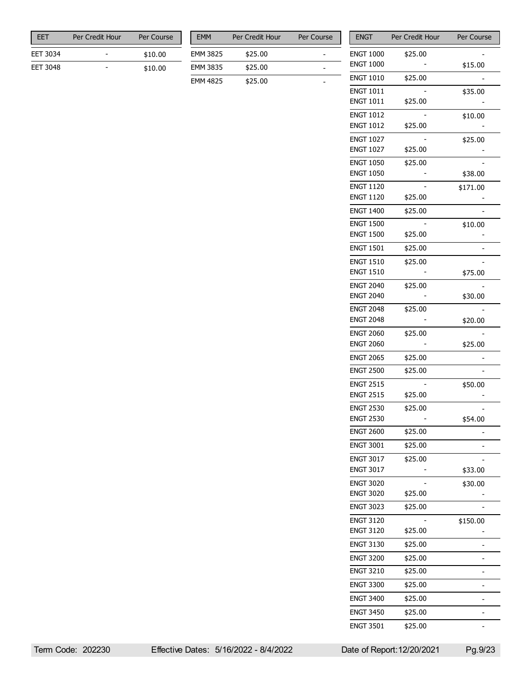| FFT             | Per Credit Hour | Per Course |
|-----------------|-----------------|------------|
| <b>EET 3034</b> |                 | \$10.00    |
| <b>EET 3048</b> |                 | \$10.00    |

| <b>FMM</b>      | Per Credit Hour | Per Course |
|-----------------|-----------------|------------|
| EMM 3825        | \$25.00         |            |
| EMM 3835        | \$25.00         |            |
| <b>EMM 4825</b> | \$25.00         |            |

| <b>ENGT</b>                          | Per Credit Hour | <b>Per Course</b> |
|--------------------------------------|-----------------|-------------------|
| <b>ENGT 1000</b>                     | \$25.00         |                   |
| <b>ENGT 1000</b>                     |                 | \$15.00           |
| <b>ENGT 1010</b>                     | \$25.00         |                   |
| <b>ENGT 1011</b>                     |                 | \$35.00           |
| <b>ENGT 1011</b>                     | \$25.00         |                   |
| <b>ENGT 1012</b>                     |                 | \$10.00           |
| <b>ENGT 1012</b>                     | \$25.00         |                   |
| <b>ENGT 1027</b>                     |                 | \$25.00           |
| <b>ENGT 1027</b>                     | \$25.00         |                   |
| <b>ENGT 1050</b>                     | \$25.00         |                   |
| <b>ENGT 1050</b>                     |                 | \$38.00           |
| <b>ENGT 1120</b>                     |                 | \$171.00          |
| <b>ENGT 1120</b>                     | \$25.00         |                   |
| <b>ENGT 1400</b>                     | \$25.00         |                   |
| <b>ENGT 1500</b>                     |                 | \$10.00           |
| <b>ENGT 1500</b>                     | \$25.00         |                   |
| <b>ENGT 1501</b>                     | \$25.00         |                   |
| <b>ENGT 1510</b>                     | \$25.00         |                   |
| <b>ENGT 1510</b>                     |                 | \$75.00           |
| <b>ENGT 2040</b><br><b>ENGT 2040</b> | \$25.00         |                   |
|                                      |                 | \$30.00           |
| <b>ENGT 2048</b><br><b>ENGT 2048</b> | \$25.00         | \$20.00           |
| <b>ENGT 2060</b>                     | \$25.00         |                   |
| <b>ENGT 2060</b>                     |                 | \$25.00           |
| <b>ENGT 2065</b>                     | \$25.00         |                   |
| <b>ENGT 2500</b>                     | \$25.00         |                   |
| <b>ENGT 2515</b>                     |                 |                   |
| <b>ENGT 2515</b>                     | \$25.00         | \$50.00           |
| <b>ENGT 2530</b>                     | \$25.00         |                   |
| <b>ENGT 2530</b>                     |                 | \$54.00           |
| <b>ENGT 2600</b>                     | \$25.00         |                   |
| <b>ENGT 3001</b>                     | \$25.00         |                   |
| <b>ENGT 3017</b>                     | \$25.00         |                   |
| <b>ENGT 3017</b>                     |                 | \$33.00           |
| <b>ENGT 3020</b>                     |                 | \$30.00           |
| <b>ENGT 3020</b>                     | \$25.00         |                   |
| <b>ENGT 3023</b>                     | \$25.00         |                   |
| <b>ENGT 3120</b>                     |                 | \$150.00          |
| <b>ENGT 3120</b>                     | \$25.00         |                   |
| <b>ENGT 3130</b>                     | \$25.00         |                   |
| <b>ENGT 3200</b>                     | \$25.00         |                   |
| <b>ENGT 3210</b>                     | \$25.00         |                   |
| <b>ENGT 3300</b>                     | \$25.00         |                   |
|                                      |                 |                   |
| <b>ENGT 3400</b>                     | \$25.00         | $\overline{a}$    |
| <b>ENGT 3450</b>                     | \$25.00         |                   |
| <b>ENGT 3501</b>                     | \$25.00         |                   |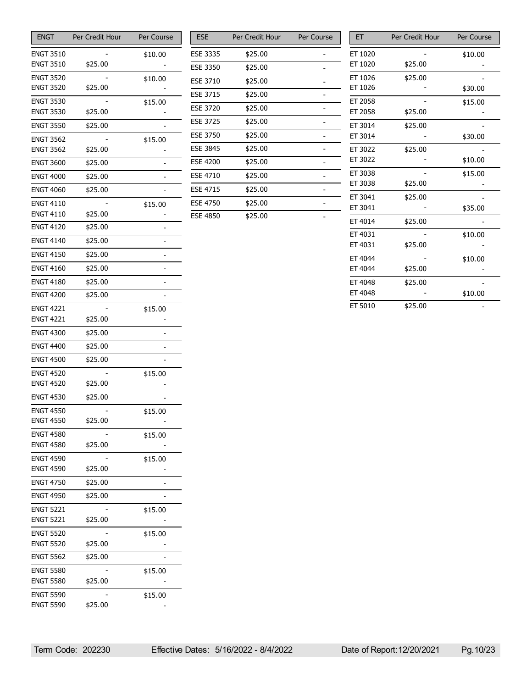| <b>ENGT</b>                          | Per Credit Hour | Per Course     |
|--------------------------------------|-----------------|----------------|
| <b>ENGT 3510</b>                     |                 | \$10.00        |
| <b>ENGT 3510</b>                     | \$25.00         |                |
| <b>ENGT 3520</b>                     |                 | \$10.00        |
| <b>ENGT 3520</b>                     | \$25.00         |                |
| <b>ENGT 3530</b>                     |                 | \$15.00        |
| <b>ENGT 3530</b>                     | \$25.00         |                |
| <b>ENGT 3550</b>                     | \$25.00         |                |
| <b>ENGT 3562</b>                     |                 | \$15.00        |
| <b>ENGT 3562</b>                     | \$25.00         |                |
| <b>ENGT 3600</b>                     | \$25.00         |                |
| <b>ENGT 4000</b>                     | \$25.00         |                |
| <b>ENGT 4060</b>                     | \$25.00         | $\overline{a}$ |
| <b>ENGT 4110</b>                     |                 | \$15.00        |
| ENGT 4110                            | \$25.00         |                |
| <b>ENGT 4120</b>                     | \$25.00         |                |
| <b>ENGT 4140</b>                     | \$25.00         |                |
| <b>ENGT 4150</b>                     | \$25.00         |                |
| <b>ENGT 4160</b>                     | \$25.00         |                |
| <b>ENGT 4180</b>                     | \$25.00         |                |
| <b>ENGT 4200</b>                     | \$25.00         | $\overline{a}$ |
| <b>ENGT 4221</b>                     |                 | \$15.00        |
| <b>ENGT 4221</b>                     | \$25.00         |                |
| <b>ENGT 4300</b>                     | \$25.00         |                |
| <b>ENGT 4400</b>                     | \$25.00         | $\overline{a}$ |
| <b>ENGT 4500</b>                     | \$25.00         | $\overline{a}$ |
| <b>ENGT 4520</b>                     |                 | \$15.00        |
| <b>ENGT 4520</b>                     | \$25.00         |                |
| <b>ENGT 4530</b>                     | \$25.00         |                |
| <b>ENGT 4550</b>                     |                 | \$15.00        |
| <b>ENGT 4550</b>                     | \$25.00         |                |
| <b>ENGT 4580</b><br><b>ENGT 4580</b> | \$25.00         | \$15.00        |
| <b>ENGT 4590</b>                     |                 |                |
| <b>ENGT 4590</b>                     | \$25.00         | \$15.00        |
| <b>ENGT 4750</b>                     | \$25.00         |                |
| <b>ENGT 4950</b>                     | \$25.00         |                |
| <b>ENGT 5221</b>                     |                 | \$15.00        |
| <b>ENGT 5221</b>                     | \$25.00         |                |
| <b>ENGT 5520</b>                     |                 | \$15.00        |
| <b>ENGT 5520</b>                     | \$25.00         |                |
| <b>ENGT 5562</b>                     | \$25.00         |                |
| <b>ENGT 5580</b>                     |                 | \$15.00        |
| <b>ENGT 5580</b>                     | \$25.00         |                |
| <b>ENGT 5590</b>                     |                 | \$15.00        |
| <b>ENGT 5590</b>                     | \$25.00         |                |

| <b>ESE</b>      | Per Credit Hour | Per Course |
|-----------------|-----------------|------------|
| <b>ESE 3335</b> | \$25.00         |            |
| <b>ESE 3350</b> | \$25.00         |            |
| <b>ESE 3710</b> | \$25.00         |            |
| <b>ESE 3715</b> | \$25.00         |            |
| <b>ESE 3720</b> | \$25.00         |            |
| <b>ESE 3725</b> | \$25.00         |            |
| <b>ESE 3750</b> | \$25.00         |            |
| <b>ESE 3845</b> | \$25.00         |            |
| <b>ESE 4200</b> | \$25.00         |            |
| <b>ESE 4710</b> | \$25.00         |            |
| <b>ESE 4715</b> | \$25.00         |            |
| <b>ESE 4750</b> | \$25.00         |            |
| <b>ESE 4850</b> | \$25.00         |            |

| EТ      | Per Credit Hour | Per Course |
|---------|-----------------|------------|
| ET 1020 |                 | \$10.00    |
| ET 1020 | \$25.00         |            |
| ET 1026 | \$25.00         |            |
| ET 1026 |                 | \$30.00    |
| ET 2058 |                 | \$15.00    |
| ET 2058 | \$25.00         |            |
| ET 3014 | \$25.00         |            |
| ET 3014 |                 | \$30.00    |
| ET 3022 | \$25.00         |            |
| ET 3022 |                 | \$10.00    |
| ET 3038 |                 | \$15.00    |
| ET 3038 | \$25.00         |            |
| ET 3041 | \$25.00         |            |
| ET 3041 |                 | \$35.00    |
| ET 4014 | \$25.00         |            |
| ET 4031 |                 | \$10.00    |
| ET 4031 | \$25.00         |            |
| ET 4044 |                 | \$10.00    |
| ET 4044 | \$25.00         |            |
| ET 4048 | \$25.00         |            |
| ET 4048 |                 | \$10.00    |
| ET 5010 | \$25.00         |            |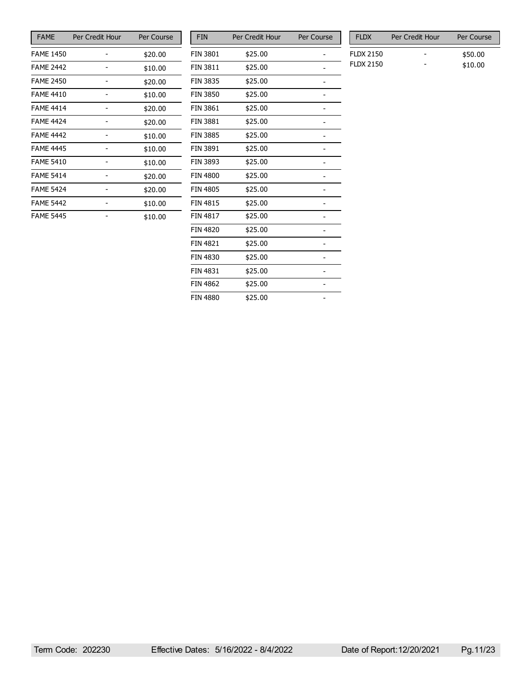| <b>FAME</b>      | Per Credit Hour | Per Course |
|------------------|-----------------|------------|
| <b>FAME 1450</b> |                 | \$20.00    |
| <b>FAME 2442</b> |                 | \$10.00    |
| <b>FAME 2450</b> |                 | \$20.00    |
| <b>FAME 4410</b> |                 | \$10.00    |
| <b>FAME 4414</b> |                 | \$20.00    |
| <b>FAME 4424</b> |                 | \$20.00    |
| <b>FAME 4442</b> |                 | \$10.00    |
| <b>FAME 4445</b> |                 | \$10.00    |
| <b>FAME 5410</b> |                 | \$10.00    |
| <b>FAME 5414</b> |                 | \$20.00    |
| <b>FAME 5424</b> |                 | \$20.00    |
| <b>FAME 5442</b> |                 | \$10.00    |
| <b>FAME 5445</b> |                 | \$10.00    |

| <b>FIN</b>      | Per Credit Hour | Per Course |
|-----------------|-----------------|------------|
| <b>FIN 3801</b> | \$25.00         |            |
| <b>FIN 3811</b> | \$25.00         |            |
| <b>FIN 3835</b> | \$25.00         |            |
| <b>FIN 3850</b> | \$25.00         |            |
| <b>FIN 3861</b> | \$25.00         |            |
| <b>FIN 3881</b> | \$25.00         |            |
| <b>FIN 3885</b> | \$25.00         |            |
| <b>FIN 3891</b> | \$25.00         |            |
| <b>FIN 3893</b> | \$25.00         |            |
| <b>FIN 4800</b> | \$25.00         |            |
| <b>FIN 4805</b> | \$25.00         |            |
| <b>FIN 4815</b> | \$25.00         |            |
| <b>FIN 4817</b> | \$25.00         |            |
| <b>FIN 4820</b> | \$25.00         |            |
| <b>FIN 4821</b> | \$25.00         |            |
| <b>FIN 4830</b> | \$25.00         |            |
| <b>FIN 4831</b> | \$25.00         |            |
| <b>FIN 4862</b> | \$25.00         |            |
| <b>FIN 4880</b> | \$25.00         |            |

| FI <sub>D</sub> X | Per Credit Hour | Per Course |
|-------------------|-----------------|------------|
| FLDX 2150         |                 | \$50.00    |
| <b>FLDX 2150</b>  | -               | \$10.00    |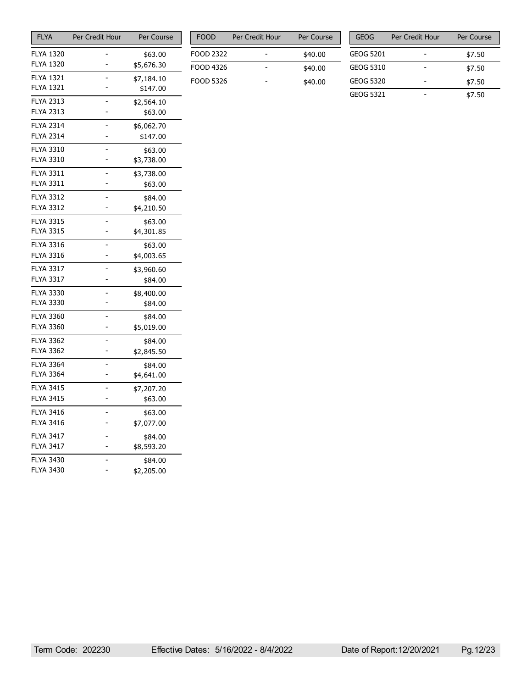| <b>FLYA</b>                          | Per Credit Hour | Per Course            |
|--------------------------------------|-----------------|-----------------------|
| <b>FLYA 1320</b>                     |                 | \$63.00               |
| <b>FLYA 1320</b>                     | -               | \$5,676.30            |
| <b>FLYA 1321</b>                     |                 | \$7,184.10            |
| <b>FLYA 1321</b>                     | ۳               | \$147.00              |
| <b>FLYA 2313</b>                     |                 | \$2,564.10            |
| <b>FLYA 2313</b>                     |                 | \$63.00               |
| <b>FLYA 2314</b>                     |                 | \$6,062.70            |
| <b>FLYA 2314</b>                     |                 | \$147.00              |
| <b>FLYA 3310</b>                     |                 | \$63.00               |
| <b>FLYA 3310</b>                     |                 | \$3,738.00            |
| <b>FLYA 3311</b>                     |                 | \$3,738.00            |
| <b>FLYA 3311</b>                     |                 | \$63.00               |
| <b>FLYA 3312</b>                     |                 | \$84.00               |
| <b>FLYA 3312</b>                     |                 | \$4,210.50            |
| <b>FLYA 3315</b>                     |                 | \$63.00               |
| <b>FLYA 3315</b>                     |                 | \$4,301.85            |
| <b>FLYA 3316</b>                     |                 | \$63.00               |
| <b>FLYA 3316</b>                     |                 | \$4,003.65            |
| <b>FLYA 3317</b>                     |                 | \$3,960.60            |
| <b>FLYA 3317</b>                     |                 | \$84.00               |
| <b>FLYA 3330</b>                     |                 | \$8,400.00            |
| <b>FLYA 3330</b>                     |                 | \$84.00               |
| <b>FLYA 3360</b>                     |                 | \$84.00               |
| <b>FLYA 3360</b>                     |                 | \$5,019.00            |
| <b>FLYA 3362</b>                     |                 | \$84.00               |
| <b>FLYA 3362</b>                     |                 | \$2,845.50            |
| <b>FLYA 3364</b>                     |                 | \$84.00               |
| <b>FLYA 3364</b>                     |                 | \$4,641.00            |
| <b>FLYA 3415</b>                     |                 | \$7,207.20            |
| <b>FLYA 3415</b>                     |                 | \$63.00               |
| <b>FLYA 3416</b><br><b>FLYA 3416</b> |                 | \$63.00               |
|                                      |                 | \$7,077.00            |
| <b>FLYA 3417</b><br><b>FLYA 3417</b> |                 | \$84.00               |
|                                      |                 | \$8,593.20            |
| <b>FLYA 3430</b><br><b>FLYA 3430</b> |                 | \$84.00<br>\$2,205.00 |
|                                      |                 |                       |

| <b>FOOD</b> | Per Credit Hour | Per Course |
|-------------|-----------------|------------|
| FOOD 2322   |                 | \$40.00    |
| FOOD 4326   |                 | \$40.00    |
| FOOD 5326   |                 | \$40.00    |

| <b>GEOG</b> | Per Credit Hour | Per Course |
|-------------|-----------------|------------|
| GEOG 5201   |                 | \$7.50     |
| GEOG 5310   |                 | \$7.50     |
| GEOG 5320   |                 | \$7.50     |
| GFOG 5321   |                 | \$7.50     |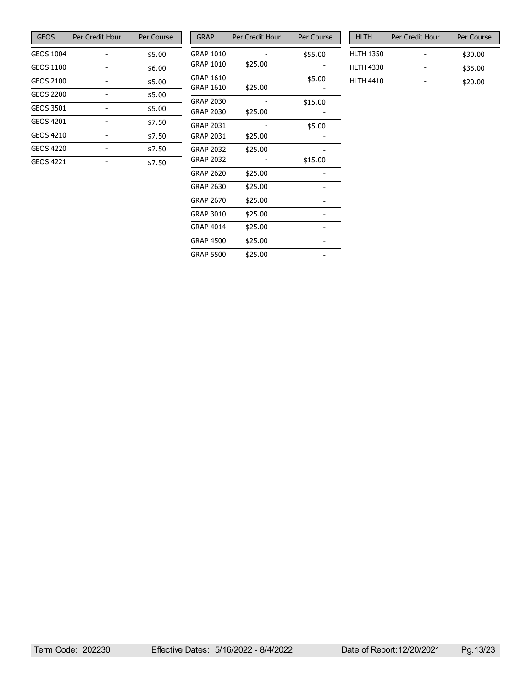| <b>GEOS</b>      | Per Credit Hour | Per Course |
|------------------|-----------------|------------|
| GEOS 1004        |                 | \$5.00     |
| GEOS 1100        |                 | \$6.00     |
| <b>GEOS 2100</b> |                 | \$5.00     |
| GEOS 2200        |                 | \$5.00     |
| <b>GEOS 3501</b> |                 | \$5.00     |
| <b>GEOS 4201</b> |                 | \$7.50     |
| <b>GEOS 4210</b> |                 | \$7.50     |
| <b>GEOS 4220</b> |                 | \$7.50     |
| <b>GEOS 4221</b> |                 | \$7.50     |

| <b>GRAP</b>      | Per Credit Hour | Per Course |
|------------------|-----------------|------------|
| <b>GRAP 1010</b> |                 | \$55.00    |
| <b>GRAP 1010</b> | \$25.00         |            |
| GRAP 1610        |                 | \$5.00     |
| GRAP 1610        | \$25.00         |            |
| <b>GRAP 2030</b> |                 | \$15.00    |
| <b>GRAP 2030</b> | \$25.00         |            |
| GRAP 2031        |                 | \$5.00     |
| GRAP 2031        | \$25.00         |            |
| <b>GRAP 2032</b> | \$25.00         |            |
| <b>GRAP 2032</b> |                 | \$15.00    |
| GRAP 2620        | \$25.00         |            |
| <b>GRAP 2630</b> | \$25.00         |            |
| GRAP 2670        | \$25.00         |            |
| <b>GRAP 3010</b> | \$25.00         |            |
| <b>GRAP 4014</b> | \$25.00         |            |
| GRAP 4500        | \$25.00         |            |
| <b>GRAP 5500</b> | \$25.00         |            |

| <b>HLTH</b>      | Per Credit Hour | Per Course |
|------------------|-----------------|------------|
| <b>HLTH 1350</b> |                 | \$30.00    |
| <b>HLTH 4330</b> |                 | \$35.00    |
| <b>HLTH 4410</b> |                 | \$20.00    |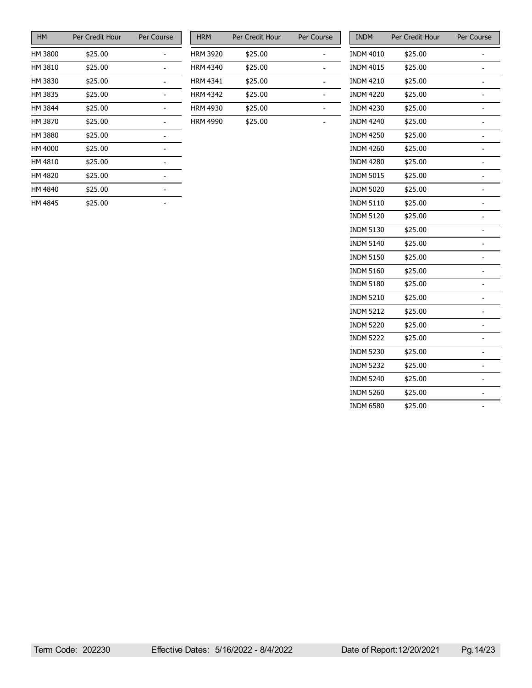| <b>HM</b> | Per Credit Hour | Per Course |
|-----------|-----------------|------------|
| HM 3800   | \$25.00         |            |
| HM 3810   | \$25.00         |            |
| HM 3830   | \$25.00         |            |
| HM 3835   | \$25.00         |            |
| HM 3844   | \$25.00         |            |
| HM 3870   | \$25.00         |            |
| HM 3880   | \$25.00         |            |
| HM 4000   | \$25.00         |            |
| HM 4810   | \$25.00         |            |
| HM 4820   | \$25.00         |            |
| HM 4840   | \$25.00         |            |
| HM 4845   | \$25.00         |            |

| <b>HRM</b>      | Per Credit Hour | Per Course |
|-----------------|-----------------|------------|
| <b>HRM 3920</b> | \$25.00         |            |
| <b>HRM 4340</b> | \$25.00         |            |
| <b>HRM 4341</b> | \$25.00         |            |
| <b>HRM 4342</b> | \$25.00         |            |
| <b>HRM 4930</b> | \$25.00         |            |
| <b>HRM 4990</b> | \$25.00         |            |

| <b>INDM</b>      | Per Credit Hour | Per Course     |
|------------------|-----------------|----------------|
| <b>INDM 4010</b> | \$25.00         |                |
| <b>INDM 4015</b> | \$25.00         |                |
| <b>INDM 4210</b> | \$25.00         | -              |
| <b>INDM 4220</b> | \$25.00         |                |
| <b>INDM 4230</b> | \$25.00         |                |
| <b>INDM 4240</b> | \$25.00         | -              |
| <b>INDM 4250</b> | \$25.00         |                |
| INDM 4260        | \$25.00         |                |
| <b>INDM 4280</b> | \$25.00         | -              |
| <b>INDM 5015</b> | \$25.00         |                |
| <b>INDM 5020</b> | \$25.00         |                |
| <b>INDM 5110</b> | \$25.00         | -              |
| <b>INDM 5120</b> | \$25.00         | $\overline{a}$ |
| <b>INDM 5130</b> | \$25.00         |                |
| <b>INDM 5140</b> | \$25.00         | -              |
| <b>INDM 5150</b> | \$25.00         | -              |
| <b>INDM 5160</b> | \$25.00         |                |
| <b>INDM 5180</b> | \$25.00         |                |
| <b>INDM 5210</b> | \$25.00         | -              |
| <b>INDM 5212</b> | \$25.00         |                |
| <b>INDM 5220</b> | \$25.00         |                |
| <b>INDM 5222</b> | \$25.00         | -              |
| <b>INDM 5230</b> | \$25.00         | -              |
| <b>INDM 5232</b> | \$25.00         |                |
| <b>INDM 5240</b> | \$25.00         | -              |
| <b>INDM 5260</b> | \$25.00         |                |
| <b>INDM 6580</b> | \$25.00         | $\overline{a}$ |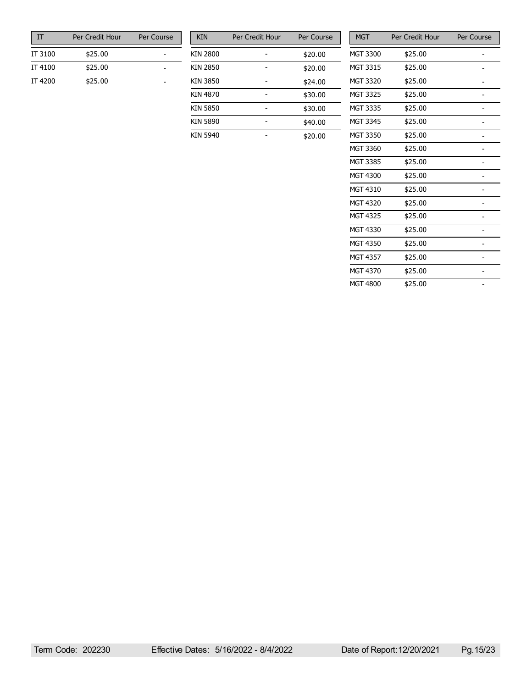| ТΤ      | Per Credit Hour | Per Course |
|---------|-----------------|------------|
| IT 3100 | \$25.00         |            |
| IT 4100 | \$25.00         |            |
| IT 4200 | \$25.00         |            |

| <b>KIN</b>      | Per Credit Hour | Per Course |
|-----------------|-----------------|------------|
| <b>KIN 2800</b> |                 | \$20.00    |
| KIN 2850        |                 | \$20.00    |
| KIN 3850        |                 | \$24.00    |
| KIN 4870        |                 | \$30.00    |
| KIN 5850        |                 | \$30.00    |
| KIN 5890        |                 | \$40.00    |
| KIN 5940        |                 | \$20.00    |

| <b>MGT</b>      | Per Credit Hour | Per Course |
|-----------------|-----------------|------------|
| MGT 3300        | \$25.00         |            |
| MGT 3315        | \$25.00         |            |
| <b>MGT 3320</b> | \$25.00         |            |
| <b>MGT 3325</b> | \$25.00         |            |
| <b>MGT 3335</b> | \$25.00         |            |
| <b>MGT 3345</b> | \$25.00         |            |
| <b>MGT 3350</b> | \$25.00         |            |
| MGT 3360        | \$25.00         |            |
| <b>MGT 3385</b> | \$25.00         |            |
| MGT 4300        | \$25.00         |            |
| MGT 4310        | \$25.00         |            |
| <b>MGT 4320</b> | \$25.00         |            |
| <b>MGT 4325</b> | \$25.00         |            |
| MGT 4330        | \$25.00         |            |
| <b>MGT 4350</b> | \$25.00         |            |
| <b>MGT 4357</b> | \$25.00         |            |
| <b>MGT 4370</b> | \$25.00         |            |
| MGT 4800        | \$25.00         |            |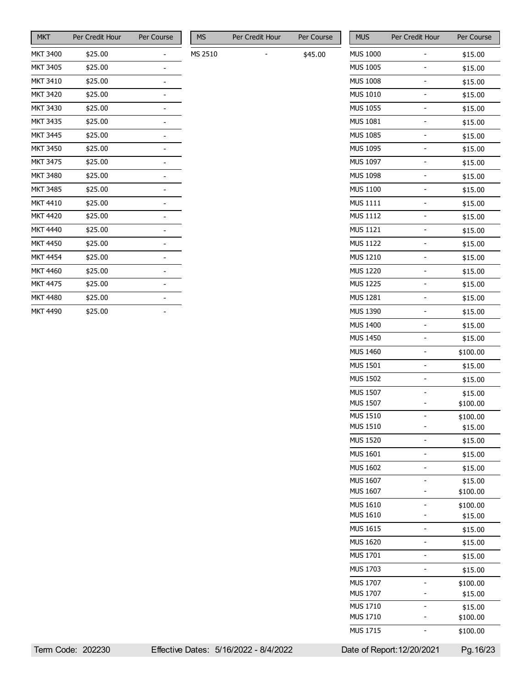| <b>MKT</b>      | Per Credit Hour | Per Course |
|-----------------|-----------------|------------|
| <b>MKT 3400</b> | \$25.00         |            |
| <b>MKT 3405</b> | \$25.00         |            |
| <b>MKT 3410</b> | \$25.00         |            |
| <b>MKT 3420</b> | \$25.00         |            |
| <b>MKT 3430</b> | \$25.00         |            |
| <b>MKT 3435</b> | \$25.00         |            |
| <b>MKT 3445</b> | \$25.00         |            |
| <b>MKT 3450</b> | \$25.00         |            |
| <b>MKT 3475</b> | \$25.00         |            |
| <b>MKT 3480</b> | \$25.00         |            |
| <b>MKT 3485</b> | \$25.00         |            |
| <b>MKT 4410</b> | \$25.00         |            |
| <b>MKT 4420</b> | \$25.00         |            |
| <b>MKT 4440</b> | \$25.00         |            |
| <b>MKT 4450</b> | \$25.00         |            |
| <b>MKT 4454</b> | \$25.00         |            |
| <b>MKT 4460</b> | \$25.00         |            |
| <b>MKT 4475</b> | \$25.00         |            |
| <b>MKT 4480</b> | \$25.00         |            |
| <b>MKT 4490</b> | \$25.00         |            |

| MS      | Per Credit Hour | Per Course |
|---------|-----------------|------------|
| MS 2510 |                 | \$45.00    |

| <b>MUS</b>      | Per Credit Hour           | Per Course |
|-----------------|---------------------------|------------|
| <b>MUS 1000</b> |                           | \$15.00    |
| <b>MUS 1005</b> |                           | \$15.00    |
| <b>MUS 1008</b> |                           | \$15.00    |
| <b>MUS 1010</b> |                           | \$15.00    |
| <b>MUS 1055</b> | $\overline{a}$            | \$15.00    |
| MUS 1081        |                           | \$15.00    |
| <b>MUS 1085</b> |                           | \$15.00    |
| <b>MUS 1095</b> |                           | \$15.00    |
| <b>MUS 1097</b> |                           | \$15.00    |
| <b>MUS 1098</b> | $\overline{a}$            | \$15.00    |
|                 |                           |            |
| <b>MUS 1100</b> |                           | \$15.00    |
| MUS 1111        |                           | \$15.00    |
| <b>MUS 1112</b> |                           | \$15.00    |
| <b>MUS 1121</b> |                           | \$15.00    |
| <b>MUS 1122</b> | L                         | \$15.00    |
| <b>MUS 1210</b> |                           | \$15.00    |
| <b>MUS 1220</b> |                           | \$15.00    |
| <b>MUS 1225</b> |                           | \$15.00    |
| <b>MUS 1281</b> |                           | \$15.00    |
| <b>MUS 1390</b> | $\overline{a}$            | \$15.00    |
| <b>MUS 1400</b> |                           | \$15.00    |
| <b>MUS 1450</b> |                           | \$15.00    |
| <b>MUS 1460</b> |                           | \$100.00   |
| <b>MUS 1501</b> |                           | \$15.00    |
| <b>MUS 1502</b> | $\overline{a}$            | \$15.00    |
| <b>MUS 1507</b> |                           | \$15.00    |
| <b>MUS 1507</b> |                           | \$100.00   |
| <b>MUS 1510</b> |                           | \$100.00   |
| <b>MUS 1510</b> |                           | \$15.00    |
| <b>MUS 1520</b> |                           | \$15.00    |
| <b>MUS 1601</b> |                           | \$15.00    |
| <b>MUS 1602</b> |                           | \$15.00    |
| <b>MUS 1607</b> |                           | \$15.00    |
| <b>MUS 1607</b> |                           | \$100.00   |
| <b>MUS 1610</b> |                           | \$100.00   |
| <b>MUS 1610</b> |                           | \$15.00    |
| <b>MUS 1615</b> |                           | \$15.00    |
| <b>MUS 1620</b> |                           | \$15.00    |
| MUS 1701        |                           | \$15.00    |
| MUS 1703        |                           | \$15.00    |
| <b>MUS 1707</b> |                           | \$100.00   |
| <b>MUS 1707</b> |                           | \$15.00    |
| <b>MUS 1710</b> |                           | \$15.00    |
| <b>MUS 1710</b> |                           | \$100.00   |
| MUS 1715        |                           | \$100.00   |
|                 | )ate of Renort:12/20/2021 | Pa 16/23   |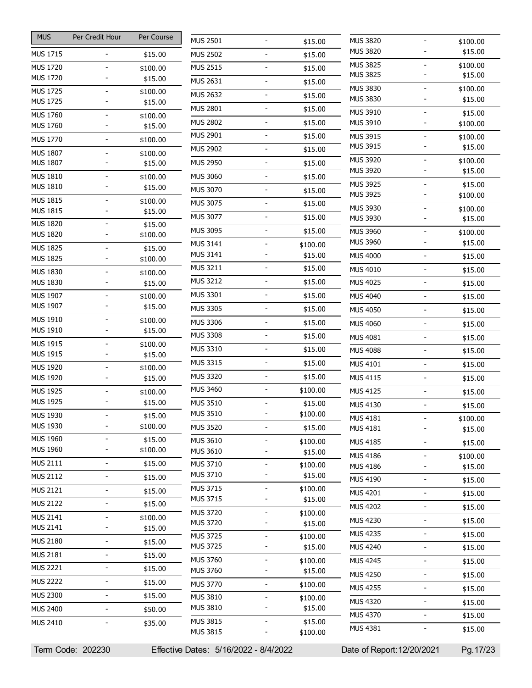| <b>MUS</b>                         | Per Credit Hour | Per Course          | <b>MUS 2501</b>                    |
|------------------------------------|-----------------|---------------------|------------------------------------|
| <b>MUS 1715</b>                    |                 | \$15.00             | <b>MUS 2502</b>                    |
| <b>MUS 1720</b>                    |                 | \$100.00            | <b>MUS 2515</b>                    |
| <b>MUS 1720</b>                    |                 | \$15.00             | <b>MUS 2631</b>                    |
| <b>MUS 1725</b>                    |                 | \$100.00            |                                    |
| <b>MUS 1725</b>                    |                 | \$15.00             | <b>MUS 2632</b>                    |
| <b>MUS 1760</b>                    |                 | \$100.00            | <b>MUS 2801</b>                    |
| <b>MUS 1760</b>                    |                 | \$15.00             | <b>MUS 2802</b>                    |
| <b>MUS 1770</b>                    |                 | \$100.00            | <b>MUS 2901</b>                    |
| <b>MUS 1807</b>                    |                 | \$100.00            | <b>MUS 2902</b>                    |
| <b>MUS 1807</b>                    |                 | \$15.00             | <b>MUS 2950</b>                    |
| <b>MUS 1810</b>                    |                 | \$100.00            | <b>MUS 3060</b>                    |
| <b>MUS 1810</b>                    |                 | \$15.00             | <b>MUS 3070</b>                    |
| <b>MUS 1815</b>                    |                 | \$100.00            | <b>MUS 3075</b>                    |
| <b>MUS 1815</b>                    |                 | \$15.00             | MUS 3077                           |
| <b>MUS 1820</b>                    |                 | \$15.00             | <b>MUS 3095</b>                    |
| <b>MUS 1820</b>                    |                 | \$100.00            | <b>MUS 3141</b>                    |
| <b>MUS 1825</b>                    |                 | \$15.00             | <b>MUS 3141</b>                    |
| <b>MUS 1825</b>                    |                 | \$100.00            | <b>MUS 3211</b>                    |
| <b>MUS 1830</b><br><b>MUS 1830</b> |                 | \$100.00            | <b>MUS 3212</b>                    |
|                                    |                 | \$15.00             | MUS 3301                           |
| MUS 1907<br><b>MUS 1907</b>        |                 | \$100.00<br>\$15.00 |                                    |
| <b>MUS 1910</b>                    |                 | \$100.00            | <b>MUS 3305</b>                    |
| <b>MUS 1910</b>                    |                 | \$15.00             | <b>MUS 3306</b>                    |
| <b>MUS 1915</b>                    |                 | \$100.00            | <b>MUS 3308</b>                    |
| <b>MUS 1915</b>                    |                 | \$15.00             | <b>MUS 3310</b>                    |
| MUS 1920                           |                 | \$100.00            | MUS 3315                           |
| MUS 1920                           |                 | \$15.00             | <b>MUS 3320</b>                    |
| <b>MUS 1925</b>                    |                 | \$100.00            | <b>MUS 3460</b>                    |
| <b>MUS 1925</b>                    |                 | \$15.00             | <b>MUS 3510</b>                    |
| <b>MUS 1930</b>                    |                 | \$15.00             | <b>MUS 3510</b>                    |
| <b>MUS 1930</b>                    |                 | \$100.00            | <b>MUS 3520</b>                    |
| <b>MUS 1960</b>                    |                 | \$15.00             | MUS 3610                           |
| MUS 1960                           |                 | \$100.00            | MUS 3610                           |
| MUS 2111                           |                 | \$15.00             | <b>MUS 3710</b>                    |
| <b>MUS 2112</b>                    |                 | \$15.00             | MUS 3710                           |
| <b>MUS 2121</b>                    |                 | \$15.00             | <b>MUS 3715</b>                    |
| <b>MUS 2122</b>                    |                 | \$15.00             | <b>MUS 3715</b>                    |
| <b>MUS 2141</b>                    |                 | \$100.00            | MUS 3720                           |
| MUS 2141                           |                 | \$15.00             | <b>MUS 3720</b>                    |
| <b>MUS 2180</b>                    |                 | \$15.00             | <b>MUS 3725</b><br><b>MUS 3725</b> |
| <b>MUS 2181</b>                    |                 | \$15.00             | <b>MUS 3760</b>                    |
| <b>MUS 2221</b>                    |                 | \$15.00             | <b>MUS 3760</b>                    |
| <b>MUS 2222</b>                    |                 | \$15.00             | <b>MUS 3770</b>                    |
| <b>MUS 2300</b>                    |                 | \$15.00             | <b>MUS 3810</b>                    |
| <b>MUS 2400</b>                    |                 | \$50.00             | <b>MUS 3810</b>                    |
| <b>MUS 2410</b>                    |                 |                     | <b>MUS 3815</b>                    |
|                                    |                 | \$35.00             | <b>MUS 3815</b>                    |
|                                    |                 |                     |                                    |

| <b>MUS 3820</b>                    | \$100.00            |
|------------------------------------|---------------------|
| <b>MUS 3820</b>                    | \$15.00             |
| <b>MUS 3825</b>                    | \$100.00            |
| <b>MUS 3825</b>                    | \$15.00             |
| MUS 3830                           | \$100.00            |
| <b>MUS 3830</b>                    | \$15.00             |
| <b>MUS 3910</b>                    | \$15.00             |
| <b>MUS 3910</b>                    | \$100.00            |
| <b>MUS 3915</b><br><b>MUS 3915</b> | \$100.00<br>\$15.00 |
| <b>MUS 3920</b>                    |                     |
| MUS 3920                           | \$100.00<br>\$15.00 |
| <b>MUS 3925</b>                    | \$15.00             |
| <b>MUS 3925</b>                    | \$100.00            |
| <b>MUS 3930</b>                    | \$100.00            |
| MUS 3930                           | \$15.00             |
| <b>MUS 3960</b>                    | \$100.00            |
| <b>MUS 3960</b>                    | \$15.00             |
| <b>MUS 4000</b>                    | \$15.00             |
| <b>MUS 4010</b>                    | \$15.00             |
| <b>MUS 4025</b>                    | \$15.00             |
| <b>MUS 4040</b>                    | \$15.00             |
| <b>MUS 4050</b>                    | \$15.00             |
| <b>MUS 4060</b>                    | \$15.00             |
| <b>MUS 4081</b>                    | \$15.00             |
| <b>MUS 4088</b>                    | \$15.00             |
| <b>MUS 4101</b>                    | \$15.00             |
| MUS 4115                           | \$15.00             |
| <b>MUS 4125</b>                    | \$15.00             |
| <b>MUS 4130</b>                    | \$15.00             |
| MUS 4181                           | \$100.00            |
| MUS 4181                           | \$15.00             |
| <b>MUS 4185</b>                    | \$15.00             |
| <b>MUS 4186</b>                    | \$100.00            |
| MUS 4186                           | \$15.00             |
| <b>MUS 4190</b>                    | \$15.00             |
| <b>MUS 4201</b>                    | \$15.00             |
| <b>MUS 4202</b>                    | \$15.00             |
| MUS 4230                           | \$15.00             |
| <b>MUS 4235</b>                    | \$15.00             |
| <b>MUS 4240</b>                    | \$15.00             |
| <b>MUS 4245</b>                    | \$15.00             |
| <b>MUS 4250</b>                    | \$15.00             |
| <b>MUS 4255</b>                    | \$15.00             |
| <b>MUS 4320</b>                    | \$15.00             |
| <b>MUS 4370</b>                    | \$15.00             |
| <b>MUS 4381</b>                    | \$15.00             |
|                                    |                     |
|                                    |                     |

 $-$  \$15.00  $-$  \$15.00  $-$  \$15.00  $-$  \$15.00  $-$  \$15.00  $-$  \$15.00  $-$  \$15.00  $-$  \$15.00  $-$  \$15.00  $-$  \$15.00  $-$  \$15.00  $-$  \$15.00  $-$  \$15.00  $-$  \$15.00  $-$  \$15.00  $-$  \$100.00  $-$  \$15.00  $-$  \$15.00  $-$  \$15.00  $-$  \$15.00  $-$  \$15.00  $-$  \$15.00  $-$  \$15.00  $-$  \$15.00  $-$  \$15.00  $-$  \$15.00  $-$  \$100.00  $-$  \$15.00  $-$  \$100.00  $-$  \$15.00  $-$  \$100.00  $-$  \$15.00  $-$  \$100.00

 $$15.00$ 

 $$15.00$ 

 $-$  \$15.00  $-$  \$100.00

 $-$  \$100.00  $-$  \$15.00  $-$  \$100.00  $-$  \$15.00  $-$  \$100.00  $-$  \$15.00  $-$  \$100.00  $-$  \$15.00  $-$  \$100.00  $-$  \$100.00

Term Code: 202230 Effective Dates: 5/16/2022 - 8/4/2022 Date of Report:12/20/2021 Pg.17/23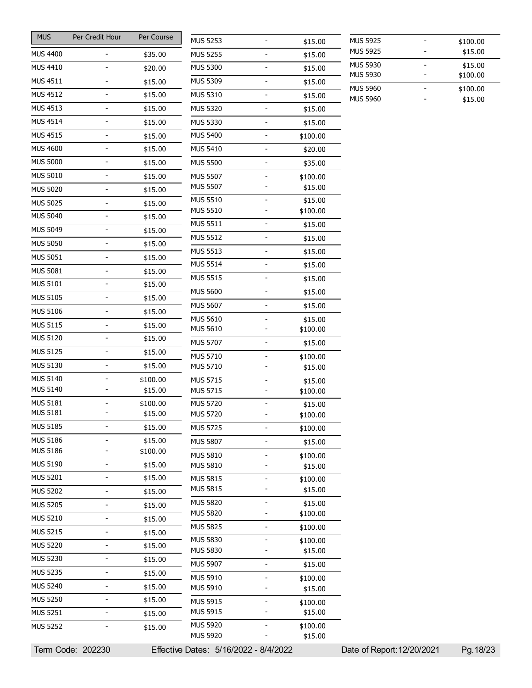| <b>MUS</b>      | Per Credit Hour              | Per Course |                                       |                          |                     |                                                                    |                     |
|-----------------|------------------------------|------------|---------------------------------------|--------------------------|---------------------|--------------------------------------------------------------------|---------------------|
|                 |                              |            | <b>MUS 5253</b>                       | $\blacksquare$           | \$15.00             | <b>MUS 5925</b>                                                    | \$100.00            |
| <b>MUS 4400</b> |                              | \$35.00    | <b>MUS 5255</b>                       | $\overline{a}$           | \$15.00             | <b>MUS 5925</b>                                                    | \$15.00             |
| <b>MUS 4410</b> |                              | \$20.00    | <b>MUS 5300</b>                       | $\blacksquare$           | \$15.00             | <b>MUS 5930</b><br>$\qquad \qquad \blacksquare$<br><b>MUS 5930</b> | \$15.00<br>\$100.00 |
| MUS 4511        | $\overline{a}$               | \$15.00    | <b>MUS 5309</b>                       | $\blacksquare$           | \$15.00             | <b>MUS 5960</b><br>$\qquad \qquad \blacksquare$                    |                     |
| <b>MUS 4512</b> | -                            | \$15.00    | MUS 5310                              | $\overline{\phantom{a}}$ | \$15.00             | <b>MUS 5960</b>                                                    | \$100.00<br>\$15.00 |
| MUS 4513        | $\qquad \qquad -$            | \$15.00    | <b>MUS 5320</b>                       | $\overline{\phantom{a}}$ | \$15.00             |                                                                    |                     |
| MUS 4514        | -                            | \$15.00    | <b>MUS 5330</b>                       |                          | \$15.00             |                                                                    |                     |
| MUS 4515        | -                            | \$15.00    | <b>MUS 5400</b>                       | $\blacksquare$           | \$100.00            |                                                                    |                     |
| <b>MUS 4600</b> | $\qquad \qquad \blacksquare$ | \$15.00    | MUS 5410                              | $\blacksquare$           | \$20.00             |                                                                    |                     |
| <b>MUS 5000</b> | $\overline{a}$               | \$15.00    | <b>MUS 5500</b>                       |                          | \$35.00             |                                                                    |                     |
| <b>MUS 5010</b> | -                            | \$15.00    | <b>MUS 5507</b>                       |                          | \$100.00            |                                                                    |                     |
| <b>MUS 5020</b> | ۰                            | \$15.00    | <b>MUS 5507</b>                       |                          | \$15.00             |                                                                    |                     |
| <b>MUS 5025</b> | $\overline{\phantom{0}}$     | \$15.00    | <b>MUS 5510</b>                       | $\overline{\phantom{a}}$ | \$15.00             |                                                                    |                     |
| <b>MUS 5040</b> | $\overline{\phantom{0}}$     | \$15.00    | <b>MUS 5510</b>                       |                          | \$100.00            |                                                                    |                     |
| <b>MUS 5049</b> | $\overline{\phantom{0}}$     | \$15.00    | <b>MUS 5511</b>                       | $\overline{\phantom{a}}$ | \$15.00             |                                                                    |                     |
| <b>MUS 5050</b> | $\overline{\phantom{0}}$     |            | <b>MUS 5512</b>                       | $\blacksquare$           | \$15.00             |                                                                    |                     |
| <b>MUS 5051</b> |                              | \$15.00    | <b>MUS 5513</b>                       | $\overline{a}$           | \$15.00             |                                                                    |                     |
|                 | -                            | \$15.00    | <b>MUS 5514</b>                       | $\blacksquare$           | \$15.00             |                                                                    |                     |
| <b>MUS 5081</b> | $\overline{\phantom{0}}$     | \$15.00    | <b>MUS 5515</b>                       | $\overline{\phantom{a}}$ | \$15.00             |                                                                    |                     |
| <b>MUS 5101</b> | $\qquad \qquad \blacksquare$ | \$15.00    | <b>MUS 5600</b>                       | $\blacksquare$           | \$15.00             |                                                                    |                     |
| <b>MUS 5105</b> | $\overline{\phantom{0}}$     | \$15.00    | <b>MUS 5607</b>                       | $\blacksquare$           | \$15.00             |                                                                    |                     |
| <b>MUS 5106</b> | -                            | \$15.00    | <b>MUS 5610</b>                       |                          | \$15.00             |                                                                    |                     |
| <b>MUS 5115</b> | ۰                            | \$15.00    | <b>MUS 5610</b>                       |                          | \$100.00            |                                                                    |                     |
| <b>MUS 5120</b> | $\overline{\phantom{0}}$     | \$15.00    | <b>MUS 5707</b>                       | $\overline{\phantom{a}}$ | \$15.00             |                                                                    |                     |
| <b>MUS 5125</b> | $\overline{\phantom{0}}$     | \$15.00    | MUS 5710                              | $\overline{\phantom{a}}$ | \$100.00            |                                                                    |                     |
| <b>MUS 5130</b> | $\overline{\phantom{0}}$     | \$15.00    | <b>MUS 5710</b>                       |                          | \$15.00             |                                                                    |                     |
| MUS 5140        |                              | \$100.00   | <b>MUS 5715</b>                       |                          | \$15.00             |                                                                    |                     |
| MUS 5140        |                              | \$15.00    | <b>MUS 5715</b>                       | $\overline{\phantom{a}}$ | \$100.00            |                                                                    |                     |
| <b>MUS 5181</b> |                              | \$100.00   | <b>MUS 5720</b>                       |                          | \$15.00             |                                                                    |                     |
| MUS 5181        |                              | \$15.00    | <b>MUS 5720</b>                       |                          | \$100.00            |                                                                    |                     |
| <b>MUS 5185</b> | $\overline{\phantom{0}}$     | \$15.00    | <b>MUS 5725</b>                       | $\blacksquare$           | \$100.00            |                                                                    |                     |
| MUS 5186        |                              | \$15.00    | <b>MUS 5807</b>                       |                          | \$15.00             |                                                                    |                     |
| <b>MUS 5186</b> | -                            | \$100.00   | <b>MUS 5810</b>                       | $\overline{a}$           | \$100.00            |                                                                    |                     |
| <b>MUS 5190</b> | $\qquad \qquad -$            | \$15.00    | <b>MUS 5810</b>                       |                          | \$15.00             |                                                                    |                     |
| <b>MUS 5201</b> | $\qquad \qquad \blacksquare$ | \$15.00    | <b>MUS 5815</b>                       | $\overline{\phantom{a}}$ | \$100.00            |                                                                    |                     |
| <b>MUS 5202</b> | $\qquad \qquad -$            | \$15.00    | <b>MUS 5815</b>                       | $\overline{a}$           | \$15.00             |                                                                    |                     |
| <b>MUS 5205</b> | $\overline{\phantom{0}}$     | \$15.00    | <b>MUS 5820</b><br><b>MUS 5820</b>    | $\blacksquare$           | \$15.00             |                                                                    |                     |
| <b>MUS 5210</b> | $\qquad \qquad \blacksquare$ | \$15.00    |                                       |                          | \$100.00            |                                                                    |                     |
| <b>MUS 5215</b> | $\qquad \qquad -$            | \$15.00    | <b>MUS 5825</b>                       | $\blacksquare$           | \$100.00            |                                                                    |                     |
| <b>MUS 5220</b> | $\overline{\phantom{0}}$     | \$15.00    | <b>MUS 5830</b><br><b>MUS 5830</b>    | $\blacksquare$           | \$100.00<br>\$15.00 |                                                                    |                     |
| <b>MUS 5230</b> | $\qquad \qquad -$            | \$15.00    | <b>MUS 5907</b>                       | $\blacksquare$           | \$15.00             |                                                                    |                     |
| <b>MUS 5235</b> | $\frac{1}{2}$                | \$15.00    |                                       |                          |                     |                                                                    |                     |
| <b>MUS 5240</b> | -                            | \$15.00    | MUS 5910<br>MUS 5910                  | $\overline{a}$           | \$100.00<br>\$15.00 |                                                                    |                     |
| <b>MUS 5250</b> | $\overline{\phantom{0}}$     | \$15.00    | MUS 5915                              | $\overline{\phantom{a}}$ | \$100.00            |                                                                    |                     |
| <b>MUS 5251</b> | $\qquad \qquad -$            | \$15.00    | MUS 5915                              |                          | \$15.00             |                                                                    |                     |
| <b>MUS 5252</b> |                              | \$15.00    | <b>MUS 5920</b>                       | $\blacksquare$           | \$100.00            |                                                                    |                     |
|                 |                              |            | <b>MUS 5920</b>                       |                          | \$15.00             |                                                                    |                     |
|                 | Term Code: 202230            |            | Effective Dates: 5/16/2022 - 8/4/2022 |                          |                     | Date of Report: 12/20/2021                                         | Pg. 18/23           |

| <b>MUS 5925</b> | \$100.00 |
|-----------------|----------|
| <b>MUS 5925</b> | \$15.00  |
| <b>MUS 5930</b> | \$15.00  |
| <b>MUS 5930</b> | \$100.00 |
| <b>MUS 5960</b> | \$100.00 |
| <b>MUS 5960</b> | \$15.00  |
|                 |          |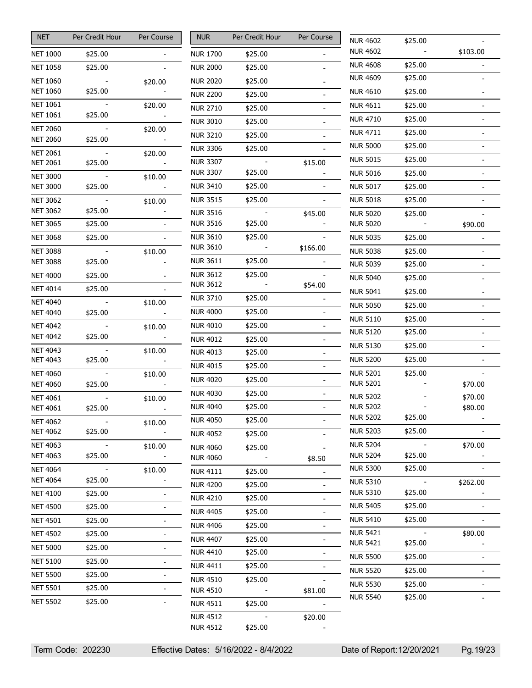| <b>NET</b>                         | Per Credit Hour | Per Course     |
|------------------------------------|-----------------|----------------|
| <b>NET 1000</b>                    | \$25.00         |                |
| <b>NET 1058</b>                    | \$25.00         |                |
| <b>NET 1060</b>                    |                 | \$20.00        |
| <b>NET 1060</b>                    | \$25.00         |                |
| <b>NET 1061</b><br><b>NET 1061</b> | \$25.00         | \$20.00        |
| <b>NET 2060</b>                    |                 |                |
| <b>NET 2060</b>                    | \$25.00         | \$20.00        |
| <b>NET 2061</b>                    |                 | \$20.00        |
| <b>NET 2061</b>                    | \$25.00         |                |
| <b>NET 3000</b>                    |                 | \$10.00        |
| <b>NET 3000</b>                    | \$25.00         |                |
| <b>NET 3062</b><br><b>NET 3062</b> | \$25.00         | \$10.00        |
| <b>NET 3065</b>                    | \$25.00         |                |
| <b>NET 3068</b>                    | \$25.00         |                |
| <b>NET 3088</b>                    |                 | \$10.00        |
| <b>NET 3088</b>                    | \$25.00         |                |
| <b>NET 4000</b>                    | \$25.00         |                |
| <b>NET 4014</b>                    | \$25.00         |                |
| <b>NET 4040</b>                    |                 | \$10.00        |
| <b>NET 4040</b>                    | \$25.00         |                |
| <b>NET 4042</b><br><b>NET 4042</b> | \$25.00         | \$10.00        |
| <b>NET 4043</b>                    |                 | \$10.00        |
| <b>NET 4043</b>                    | \$25.00         |                |
| <b>NET 4060</b>                    |                 | \$10.00        |
| <b>NET 4060</b>                    | \$25.00         |                |
| <b>NET 4061</b>                    |                 | \$10.00        |
| <b>NET 4061</b>                    | \$25.00         |                |
| <b>NET 4062</b><br><b>NET 4062</b> | \$25.00         | \$10.00        |
| <b>NET 4063</b>                    |                 | \$10.00        |
| <b>NET 4063</b>                    | \$25.00         |                |
| <b>NET 4064</b>                    |                 | \$10.00        |
| <b>NET 4064</b>                    | \$25.00         |                |
| <b>NET 4100</b>                    | \$25.00         |                |
| <b>NET 4500</b>                    | \$25.00         |                |
| <b>NET 4501</b>                    | \$25.00         | $\overline{a}$ |
| <b>NET 4502</b>                    | \$25.00         |                |
| <b>NET 5000</b>                    | \$25.00         |                |
| <b>NET 5100</b>                    | \$25.00         | -              |
| <b>NET 5500</b>                    | \$25.00         |                |
| <b>NET 5501</b>                    | \$25.00         |                |
| <b>NET 5502</b>                    | \$25.00         |                |

| <b>NUR</b>                         | Per Credit Hour    | Per Course |
|------------------------------------|--------------------|------------|
| <b>NUR 1700</b>                    | \$25.00            |            |
| NUR 2000                           | \$25.00            |            |
| <b>NUR 2020</b>                    | \$25.00            |            |
| <b>NUR 2200</b>                    | \$25.00            |            |
| NUR 2710                           | \$25.00            |            |
| <b>NUR 3010</b>                    | \$25.00            |            |
| <b>NUR 3210</b>                    | \$25.00            |            |
| NUR 3306                           | \$25.00            |            |
| <b>NUR 3307</b>                    |                    | \$15.00    |
| <b>NUR 3307</b>                    | \$25.00            |            |
| NUR 3410                           | \$25.00            |            |
| <b>NUR 3515</b>                    | \$25.00            |            |
| <b>NUR 3516</b>                    |                    | \$45.00    |
| <b>NUR 3516</b>                    | \$25.00            |            |
| <b>NUR 3610</b>                    | \$25.00            |            |
| NUR 3610                           |                    | \$166.00   |
| <b>NUR 3611</b>                    | \$25.00            |            |
| <b>NUR 3612</b><br>NUR 3612        | \$25.00            | \$54.00    |
| <b>NUR 3710</b>                    | \$25.00            |            |
| <b>NUR 4000</b>                    | \$25.00            |            |
|                                    |                    |            |
| NUR 4010                           | \$25.00            |            |
| NUR 4012                           | \$25.00            |            |
| NUR 4013                           | \$25.00            |            |
| <b>NUR 4015</b>                    | \$25.00            | -          |
| NUR 4020                           | \$25.00            |            |
| <b>NUR 4030</b>                    | \$25.00            |            |
| <b>NUR 4040</b>                    | \$25.00            |            |
| <b>NUR 4050</b>                    | \$25.00            |            |
| NUR 4052                           | \$25.00            |            |
| <b>NUR 4060</b><br><b>NUR 4060</b> | \$25.00            | \$8.50     |
| <b>NUR 4111</b>                    | \$25.00            |            |
| <b>NUR 4200</b>                    | \$25.00            |            |
|                                    |                    |            |
| NUR 4210<br>NUR 4405               | \$25.00<br>\$25.00 |            |
|                                    |                    |            |
| NUR 4406                           | \$25.00            |            |
| NUR 4407                           | \$25.00            |            |
| NUR 4410                           | \$25.00            |            |
| NUR 4411                           | \$25.00            |            |
| <b>NUR 4510</b><br>NUR 4510        | \$25.00            |            |
|                                    | \$25.00            | \$81.00    |
| NUR 4511<br><b>NUR 4512</b>        |                    |            |
| NUR 4512                           | \$25.00            | \$20.00    |
|                                    |                    |            |

| NUR 4602                    | \$25.00 |          |
|-----------------------------|---------|----------|
| NUR 4602                    |         | \$103.00 |
| NUR 4608                    | \$25.00 |          |
| NUR 4609                    | \$25.00 |          |
| NUR 4610                    | \$25.00 |          |
| NUR 4611                    | \$25.00 |          |
| NUR 4710                    | \$25.00 |          |
| NUR 4711                    | \$25.00 |          |
| <b>NUR 5000</b>             | \$25.00 |          |
| NUR 5015                    | \$25.00 |          |
| NUR 5016                    | \$25.00 |          |
| NUR 5017                    | \$25.00 |          |
| NUR 5018                    | \$25.00 |          |
| <b>NUR 5020</b>             | \$25.00 |          |
| NUR 5020                    |         | \$90.00  |
| NUR 5035                    | \$25.00 |          |
| NUR 5038                    | \$25.00 |          |
| NUR 5039                    | \$25.00 |          |
| NUR 5040                    | \$25.00 |          |
| <b>NUR 5041</b>             | \$25.00 |          |
| NUR 5050                    | \$25.00 |          |
| NUR 5110                    | \$25.00 |          |
| NUR 5120                    | \$25.00 |          |
| NUR 5130                    | \$25.00 |          |
| <b>NUR 5200</b>             | \$25.00 |          |
| NUR 5201                    | \$25.00 |          |
| NUR 5201                    |         | \$70.00  |
| <b>NUR 5202</b>             |         | \$70.00  |
| <b>NUR 5202</b>             |         | \$80.00  |
| NUR 5202                    | \$25.00 |          |
| NUR 5203                    | \$25.00 |          |
| <b>NUR 5204</b><br>NUR 5204 | \$25.00 | \$70.00  |
| NUR 5300                    | \$25.00 |          |
| <b>NUR 5310</b>             |         |          |
| NUR 5310                    | \$25.00 | \$262.00 |
| NUR 5405                    | \$25.00 |          |
| NUR 5410                    | \$25.00 |          |
| <b>NUR 5421</b>             |         | \$80.00  |
| NUR 5421                    | \$25.00 |          |
| NUR 5500                    | \$25.00 |          |
| NUR 5520                    | \$25.00 |          |
| NUR 5530                    | \$25.00 |          |
| NUR 5540                    | \$25.00 |          |
|                             |         |          |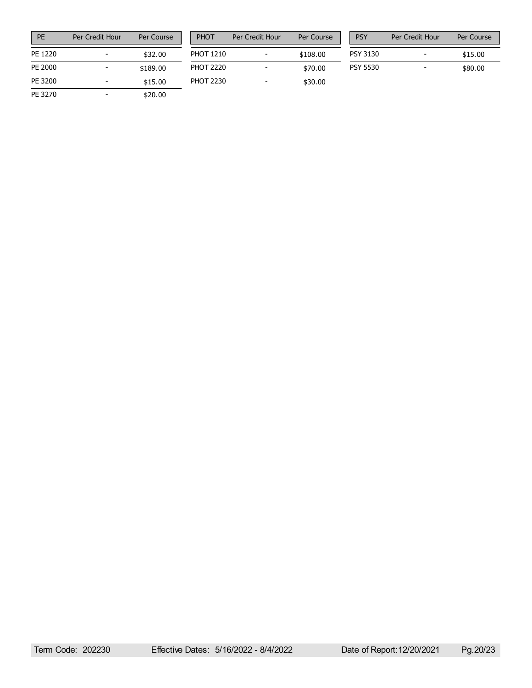| PF      | Per Credit Hour | Per Course |
|---------|-----------------|------------|
| PF 1220 |                 | \$32.00    |
| PE 2000 |                 | \$189.00   |
| PE 3200 |                 | \$15.00    |
| PE 3270 |                 | \$20.00    |

| PHOT             | Per Credit Hour | Per Course |
|------------------|-----------------|------------|
| <b>PHOT 1210</b> |                 | \$108.00   |
| <b>PHOT 2220</b> |                 | \$70.00    |
| PHOT 2230        |                 | \$30.00    |

| <b>PSY</b>      | Per Credit Hour | Per Course |
|-----------------|-----------------|------------|
| PSY 3130        |                 | \$15.00    |
| <b>PSY 5530</b> |                 | \$80.00    |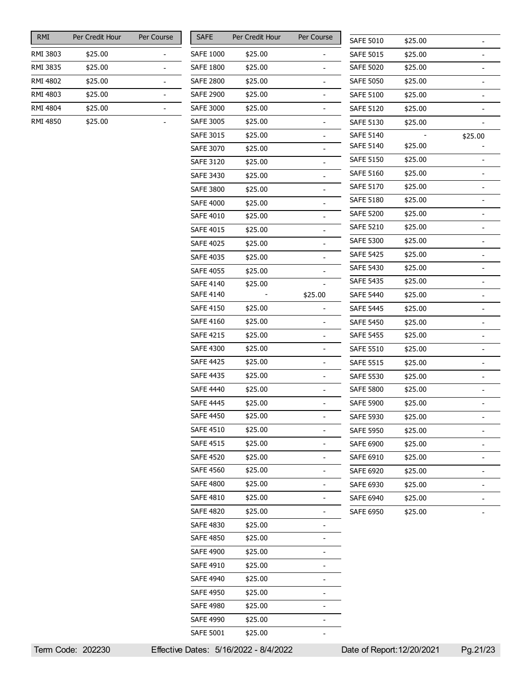| <b>RMI</b> | Per Credit Hour | Per Course |
|------------|-----------------|------------|
| RMI 3803   | \$25.00         |            |
| RMI 3835   | \$25.00         |            |
| RMI 4802   | \$25.00         |            |
| RMI 4803   | \$25.00         |            |
| RMI 4804   | \$25.00         |            |
| RMI 4850   | \$25.00         |            |

| SAFE             | Per Credit Hour | Per Course |
|------------------|-----------------|------------|
| SAFE 1000        | \$25.00         |            |
| SAFE 1800        | \$25.00         |            |
| <b>SAFE 2800</b> | \$25.00         |            |
| <b>SAFE 2900</b> | \$25.00         |            |
| <b>SAFE 3000</b> | \$25.00         |            |
| <b>SAFE 3005</b> | \$25.00         |            |
| <b>SAFE 3015</b> | \$25.00         |            |
| <b>SAFE 3070</b> | \$25.00         |            |
| <b>SAFE 3120</b> | \$25.00         |            |
| <b>SAFE 3430</b> | \$25.00         |            |
| SAFE 3800        | \$25.00         |            |
| <b>SAFE 4000</b> | \$25.00         |            |
| SAFE 4010        | \$25.00         |            |
| <b>SAFE 4015</b> | \$25.00         |            |
| <b>SAFE 4025</b> | \$25.00         |            |
| <b>SAFE 4035</b> | \$25.00         |            |
| <b>SAFE 4055</b> | \$25.00         |            |
| <b>SAFE 4140</b> | \$25.00         |            |
| SAFE 4140        |                 | \$25.00    |
| <b>SAFE 4150</b> | \$25.00         |            |
| <b>SAFE 4160</b> | \$25.00         |            |
| SAFE 4215        | \$25.00         |            |
| SAFE 4300        | \$25.00         |            |
| SAFE 4425        | \$25.00         |            |
| <b>SAFE 4435</b> | \$25.00         |            |
| <b>SAFE 4440</b> | \$25.00         |            |
| SAFE 4445        | \$25.00         |            |
| <b>SAFE 4450</b> | \$25.00         |            |
| SAFE 4510        | \$25.00         |            |
| <b>SAFE 4515</b> | \$25.00         |            |
| <b>SAFE 4520</b> | \$25.00         |            |
| <b>SAFE 4560</b> | \$25.00         |            |
| <b>SAFE 4800</b> | \$25.00         |            |
| SAFE 4810        | \$25.00         |            |
| <b>SAFE 4820</b> | \$25.00         |            |
| <b>SAFE 4830</b> | \$25.00         |            |
| <b>SAFE 4850</b> | \$25.00         |            |
| <b>SAFE 4900</b> | \$25.00         |            |
| SAFE 4910        | \$25.00         |            |
| <b>SAFE 4940</b> | \$25.00         |            |
| <b>SAFE 4950</b> | \$25.00         |            |
| SAFE 4980        | \$25.00         |            |
| <b>SAFE 4990</b> | \$25.00         |            |
| <b>SAFE 5001</b> | \$25.00         |            |

| <b>SAFE 5010</b><br>\$25.00<br><b>SAFE 5015</b><br>\$25.00<br><b>SAFE 5020</b><br>\$25.00 | -       |
|-------------------------------------------------------------------------------------------|---------|
|                                                                                           |         |
|                                                                                           |         |
|                                                                                           |         |
| <b>SAFE 5050</b><br>\$25.00                                                               |         |
| <b>SAFE 5100</b><br>\$25.00                                                               |         |
| <b>SAFE 5120</b><br>\$25.00                                                               |         |
| <b>SAFE 5130</b><br>\$25.00                                                               |         |
| <b>SAFE 5140</b>                                                                          | \$25.00 |
| \$25.00<br>SAFE 5140                                                                      |         |
| <b>SAFE 5150</b><br>\$25.00                                                               |         |
| <b>SAFE 5160</b><br>\$25.00                                                               |         |
| <b>SAFE 5170</b><br>\$25.00                                                               | -       |
| <b>SAFE 5180</b><br>\$25.00                                                               | -       |
| SAFE 5200<br>\$25.00                                                                      |         |
| <b>SAFE 5210</b><br>\$25.00                                                               | ī       |
| <b>SAFE 5300</b><br>\$25.00                                                               |         |
| <b>SAFE 5425</b><br>\$25.00                                                               | -       |
| <b>SAFE 5430</b><br>\$25.00                                                               |         |
| <b>SAFE 5435</b><br>\$25.00                                                               | -       |
| <b>SAFE 5440</b><br>\$25.00                                                               |         |
| <b>SAFE 5445</b><br>\$25.00                                                               |         |
| <b>SAFE 5450</b><br>\$25.00                                                               | -       |
| <b>SAFE 5455</b><br>\$25.00                                                               |         |
| <b>SAFE 5510</b><br>\$25.00                                                               |         |
| <b>SAFE 5515</b><br>\$25.00                                                               | ī       |
| <b>SAFE 5530</b><br>\$25.00                                                               |         |
| <b>SAFE 5800</b><br>\$25.00                                                               |         |
| <b>SAFE 5900</b><br>\$25.00                                                               |         |
| <b>SAFE 5930</b><br>\$25.00                                                               |         |
| <b>SAFE 5950</b><br>\$25.00                                                               |         |
| SAFE 6900<br>\$25.00                                                                      |         |
| <b>SAFE 6910</b><br>\$25.00                                                               |         |
| <b>SAFE 6920</b><br>\$25.00                                                               |         |
| SAFE 6930<br>\$25.00                                                                      |         |
| <b>SAFE 6940</b><br>\$25.00                                                               |         |
| <b>SAFE 6950</b><br>\$25.00                                                               |         |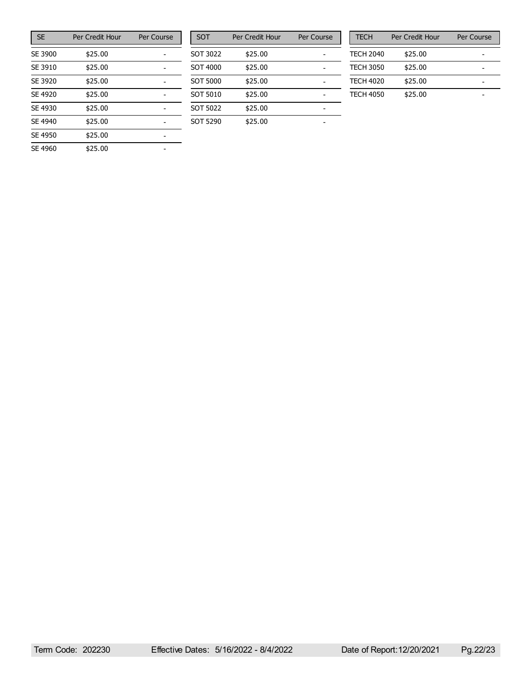| <b>SE</b> | Per Credit Hour | Per Course |
|-----------|-----------------|------------|
| SE 3900   | \$25.00         |            |
| SE 3910   | \$25.00         |            |
| SE 3920   | \$25.00         |            |
| SE 4920   | \$25.00         |            |
| SE 4930   | \$25.00         |            |
| SE 4940   | \$25.00         |            |
| SE 4950   | \$25.00         |            |
| SE 4960   | \$25.00         |            |

| <b>SOT</b> | Per Credit Hour | Per Course |
|------------|-----------------|------------|
| SOT 3022   | \$25.00         |            |
| SOT 4000   | \$25.00         |            |
| SOT 5000   | \$25.00         |            |
| SOT 5010   | \$25.00         |            |
| SOT 5022   | \$25.00         |            |
| SOT 5290   | \$25.00         |            |

| <b>TECH</b>      | Per Credit Hour | Per Course |  |
|------------------|-----------------|------------|--|
| <b>TECH 2040</b> | \$25.00         |            |  |
| <b>TECH 3050</b> | \$25.00         |            |  |
| <b>TECH 4020</b> | \$25.00         |            |  |
| <b>TECH 4050</b> | \$25.00         |            |  |